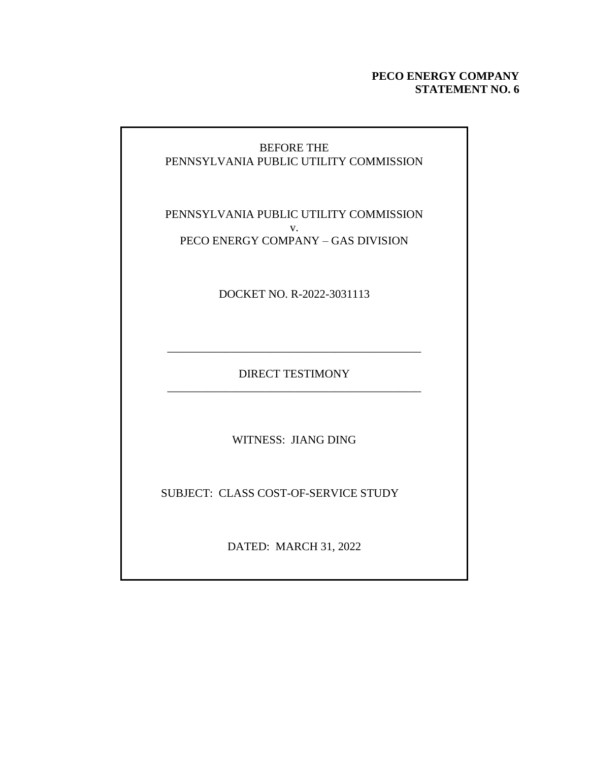#### **PECO ENERGY COMPANY STATEMENT NO. 6**

### BEFORE THE PENNSYLVANIA PUBLIC UTILITY COMMISSION

PENNSYLVANIA PUBLIC UTILITY COMMISSION v. PECO ENERGY COMPANY – GAS DIVISION

DOCKET NO. R-2022-3031113

DIRECT TESTIMONY \_\_\_\_\_\_\_\_\_\_\_\_\_\_\_\_\_\_\_\_\_\_\_\_\_\_\_\_\_\_\_\_\_\_\_\_\_\_\_\_\_\_\_\_

\_\_\_\_\_\_\_\_\_\_\_\_\_\_\_\_\_\_\_\_\_\_\_\_\_\_\_\_\_\_\_\_\_\_\_\_\_\_\_\_\_\_\_\_

WITNESS: JIANG DING

SUBJECT: CLASS COST-OF-SERVICE STUDY

DATED: MARCH 31, 2022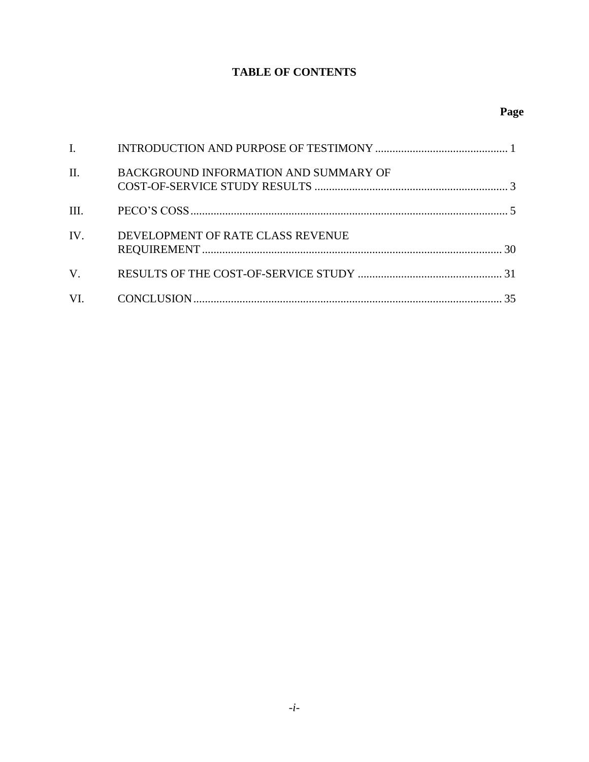## **TABLE OF CONTENTS**

| $\mathbf{I}$ , $\mathbf{I}$ |                                       |  |
|-----------------------------|---------------------------------------|--|
| $\Pi$ .                     | BACKGROUND INFORMATION AND SUMMARY OF |  |
| III.                        |                                       |  |
| $\mathbf{IV}$               | DEVELOPMENT OF RATE CLASS REVENUE     |  |
| $V_{\cdot}$                 |                                       |  |
|                             |                                       |  |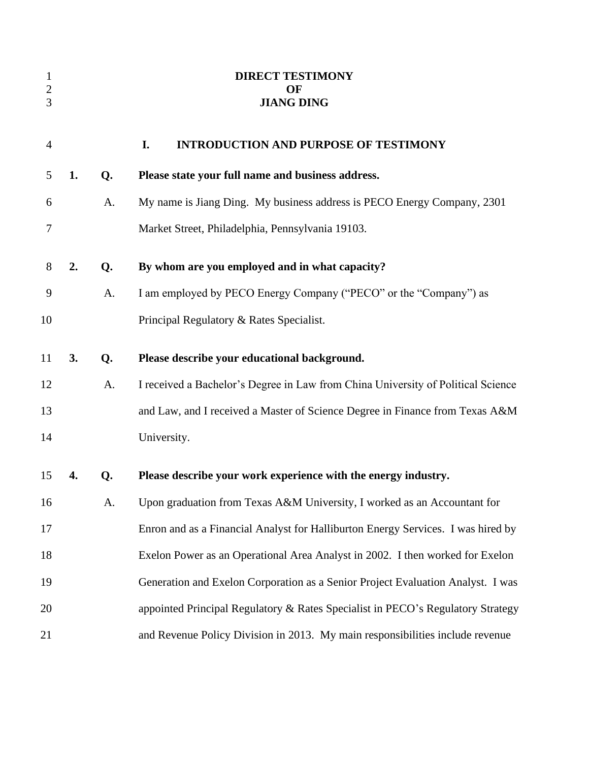<span id="page-2-0"></span>

| $\mathbf{1}$<br>$\overline{c}$<br>3 |    |    | <b>DIRECT TESTIMONY</b><br>OF<br><b>JIANG DING</b>                               |
|-------------------------------------|----|----|----------------------------------------------------------------------------------|
| $\overline{4}$                      |    |    | I.<br><b>INTRODUCTION AND PURPOSE OF TESTIMONY</b>                               |
| 5                                   | 1. | Q. | Please state your full name and business address.                                |
| 6                                   |    | A. | My name is Jiang Ding. My business address is PECO Energy Company, 2301          |
| 7                                   |    |    | Market Street, Philadelphia, Pennsylvania 19103.                                 |
| 8                                   | 2. | Q. | By whom are you employed and in what capacity?                                   |
| 9                                   |    | A. | I am employed by PECO Energy Company ("PECO" or the "Company") as                |
| 10                                  |    |    | Principal Regulatory & Rates Specialist.                                         |
| 11                                  | 3. | Q. | Please describe your educational background.                                     |
| 12                                  |    | A. | I received a Bachelor's Degree in Law from China University of Political Science |
| 13                                  |    |    | and Law, and I received a Master of Science Degree in Finance from Texas A&M     |
| 14                                  |    |    | University.                                                                      |
| 15                                  | 4. | Q. | Please describe your work experience with the energy industry.                   |
| 16                                  |    | A. | Upon graduation from Texas A&M University, I worked as an Accountant for         |
| 17                                  |    |    | Enron and as a Financial Analyst for Halliburton Energy Services. I was hired by |
| 18                                  |    |    | Exelon Power as an Operational Area Analyst in 2002. I then worked for Exelon    |
| 19                                  |    |    | Generation and Exelon Corporation as a Senior Project Evaluation Analyst. I was  |
| 20                                  |    |    | appointed Principal Regulatory & Rates Specialist in PECO's Regulatory Strategy  |
| 21                                  |    |    | and Revenue Policy Division in 2013. My main responsibilities include revenue    |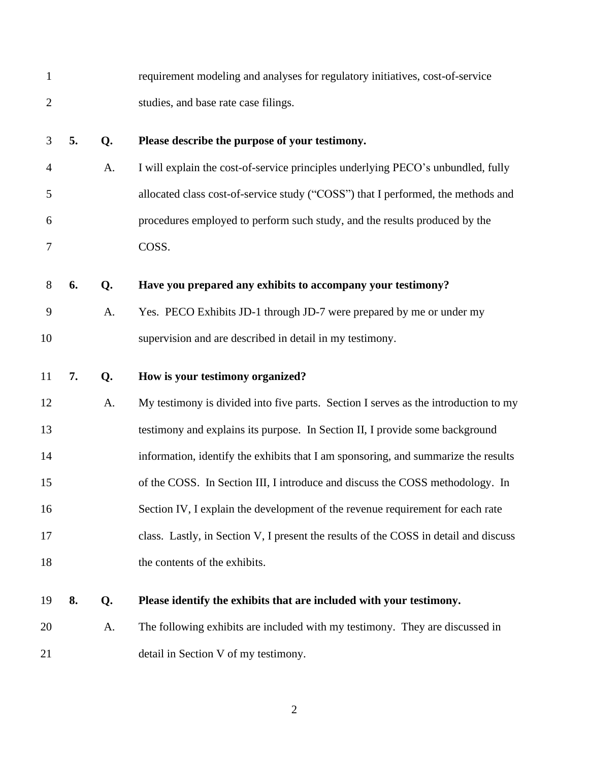| $\mathbf{1}$   |    |    | requirement modeling and analyses for regulatory initiatives, cost-of-service        |
|----------------|----|----|--------------------------------------------------------------------------------------|
| $\mathbf{2}$   |    |    | studies, and base rate case filings.                                                 |
| 3              | 5. | Q. | Please describe the purpose of your testimony.                                       |
| $\overline{4}$ |    | A. | I will explain the cost-of-service principles underlying PECO's unbundled, fully     |
| 5              |    |    | allocated class cost-of-service study ("COSS") that I performed, the methods and     |
| 6              |    |    | procedures employed to perform such study, and the results produced by the           |
| $\tau$         |    |    | COSS.                                                                                |
| 8              | 6. | Q. | Have you prepared any exhibits to accompany your testimony?                          |
| 9              |    | A. | Yes. PECO Exhibits JD-1 through JD-7 were prepared by me or under my                 |
| 10             |    |    | supervision and are described in detail in my testimony.                             |
| 11             | 7. | Q. | How is your testimony organized?                                                     |
|                |    |    |                                                                                      |
| 12             |    | A. | My testimony is divided into five parts. Section I serves as the introduction to my  |
| 13             |    |    | testimony and explains its purpose. In Section II, I provide some background         |
| 14             |    |    | information, identify the exhibits that I am sponsoring, and summarize the results   |
| 15             |    |    | of the COSS. In Section III, I introduce and discuss the COSS methodology. In        |
| 16             |    |    | Section IV, I explain the development of the revenue requirement for each rate       |
| 17             |    |    | class. Lastly, in Section V, I present the results of the COSS in detail and discuss |
| 18             |    |    | the contents of the exhibits.                                                        |
| 19             | 8. | Q. | Please identify the exhibits that are included with your testimony.                  |
| 20             |    | A. | The following exhibits are included with my testimony. They are discussed in         |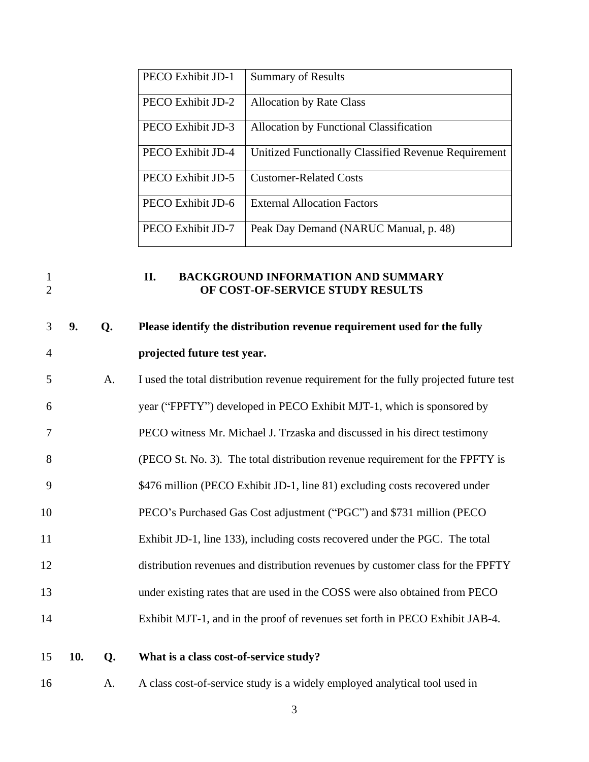| PECO Exhibit JD-1 | <b>Summary of Results</b>                            |
|-------------------|------------------------------------------------------|
| PECO Exhibit JD-2 | <b>Allocation by Rate Class</b>                      |
| PECO Exhibit JD-3 | <b>Allocation by Functional Classification</b>       |
| PECO Exhibit JD-4 | Unitized Functionally Classified Revenue Requirement |
| PECO Exhibit JD-5 | <b>Customer-Related Costs</b>                        |
| PECO Exhibit JD-6 | <b>External Allocation Factors</b>                   |
| PECO Exhibit JD-7 | Peak Day Demand (NARUC Manual, p. 48)                |

#### <span id="page-4-0"></span>1 **II. BACKGROUND INFORMATION AND SUMMARY**<br>2 **OF COST-OF-SERVICE STUDY RESULTS OF COST-OF-SERVICE STUDY RESULTS**

# **9. Q. Please identify the distribution revenue requirement used for the fully projected future test year.**

| 5  | A. | I used the total distribution revenue requirement for the fully projected future test |
|----|----|---------------------------------------------------------------------------------------|
| 6  |    | year ("FPFTY") developed in PECO Exhibit MJT-1, which is sponsored by                 |
|    |    | PECO witness Mr. Michael J. Trzaska and discussed in his direct testimony             |
| 8  |    | (PECO St. No. 3). The total distribution revenue requirement for the FPFTY is         |
| 9  |    | \$476 million (PECO Exhibit JD-1, line 81) excluding costs recovered under            |
| 10 |    | PECO's Purchased Gas Cost adjustment ("PGC") and \$731 million (PECO                  |
| 11 |    | Exhibit JD-1, line 133), including costs recovered under the PGC. The total           |
| 12 |    | distribution revenues and distribution revenues by customer class for the FPFTY       |
| 13 |    | under existing rates that are used in the COSS were also obtained from PECO           |
| 14 |    | Exhibit MJT-1, and in the proof of revenues set forth in PECO Exhibit JAB-4.          |
|    |    |                                                                                       |

### **10. Q. What is a class cost-of-service study?**

A. A class cost-of-service study is a widely employed analytical tool used in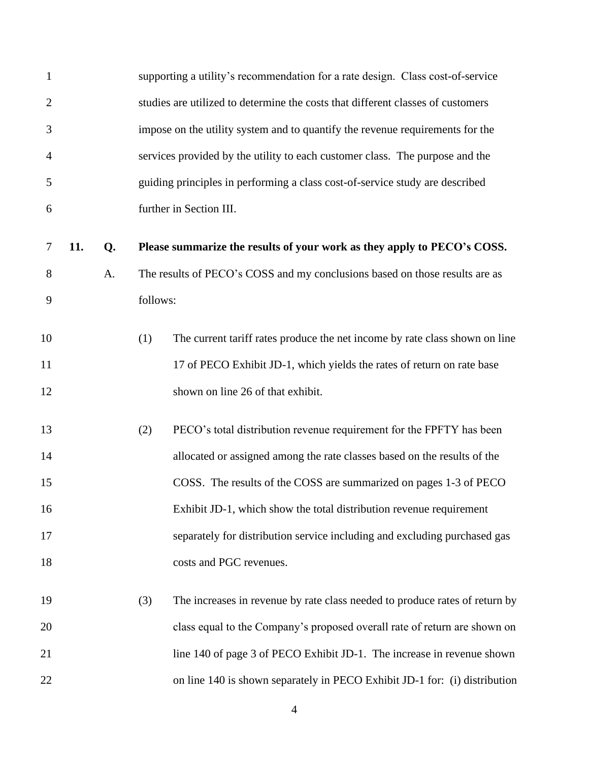| $\mathbf{1}$   |     |    |          | supporting a utility's recommendation for a rate design. Class cost-of-service  |
|----------------|-----|----|----------|---------------------------------------------------------------------------------|
| $\overline{c}$ |     |    |          | studies are utilized to determine the costs that different classes of customers |
| 3              |     |    |          | impose on the utility system and to quantify the revenue requirements for the   |
| $\overline{4}$ |     |    |          | services provided by the utility to each customer class. The purpose and the    |
| 5              |     |    |          | guiding principles in performing a class cost-of-service study are described    |
| 6              |     |    |          | further in Section III.                                                         |
| 7              | 11. | Q. |          | Please summarize the results of your work as they apply to PECO's COSS.         |
| 8              |     | A. |          | The results of PECO's COSS and my conclusions based on those results are as     |
| 9              |     |    | follows: |                                                                                 |
| 10             |     |    | (1)      | The current tariff rates produce the net income by rate class shown on line     |
| 11             |     |    |          | 17 of PECO Exhibit JD-1, which yields the rates of return on rate base          |
| 12             |     |    |          | shown on line 26 of that exhibit.                                               |
| 13             |     |    | (2)      | PECO's total distribution revenue requirement for the FPFTY has been            |
| 14             |     |    |          | allocated or assigned among the rate classes based on the results of the        |
| 15             |     |    |          | COSS. The results of the COSS are summarized on pages 1-3 of PECO               |
| 16             |     |    |          | Exhibit JD-1, which show the total distribution revenue requirement             |
| 17             |     |    |          | separately for distribution service including and excluding purchased gas       |
| 18             |     |    |          | costs and PGC revenues.                                                         |
| 19             |     |    | (3)      | The increases in revenue by rate class needed to produce rates of return by     |
| 20             |     |    |          | class equal to the Company's proposed overall rate of return are shown on       |
| 21             |     |    |          | line 140 of page 3 of PECO Exhibit JD-1. The increase in revenue shown          |
| 22             |     |    |          | on line 140 is shown separately in PECO Exhibit JD-1 for: (i) distribution      |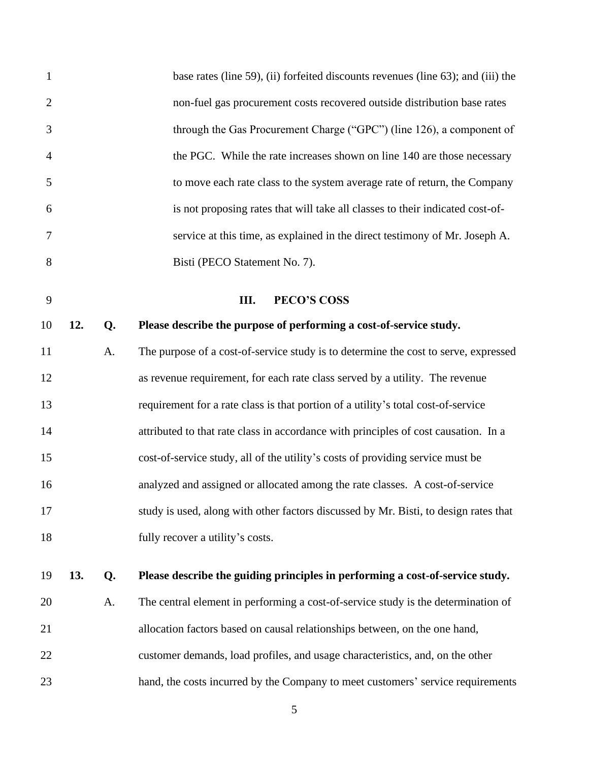<span id="page-6-0"></span>

| $\mathbf{1}$   |     |    | base rates (line 59), (ii) forfeited discounts revenues (line 63); and (iii) the     |
|----------------|-----|----|--------------------------------------------------------------------------------------|
| $\overline{2}$ |     |    | non-fuel gas procurement costs recovered outside distribution base rates             |
| 3              |     |    | through the Gas Procurement Charge ("GPC") (line 126), a component of                |
| $\overline{4}$ |     |    | the PGC. While the rate increases shown on line 140 are those necessary              |
| 5              |     |    | to move each rate class to the system average rate of return, the Company            |
| 6              |     |    | is not proposing rates that will take all classes to their indicated cost-of-        |
| $\tau$         |     |    | service at this time, as explained in the direct testimony of Mr. Joseph A.          |
| 8              |     |    | Bisti (PECO Statement No. 7).                                                        |
| 9              |     |    | III.<br><b>PECO'S COSS</b>                                                           |
| 10             | 12. | Q. | Please describe the purpose of performing a cost-of-service study.                   |
| 11             |     | A. | The purpose of a cost-of-service study is to determine the cost to serve, expressed  |
| 12             |     |    | as revenue requirement, for each rate class served by a utility. The revenue         |
| 13             |     |    | requirement for a rate class is that portion of a utility's total cost-of-service    |
| 14             |     |    | attributed to that rate class in accordance with principles of cost causation. In a  |
| 15             |     |    | cost-of-service study, all of the utility's costs of providing service must be       |
| 16             |     |    | analyzed and assigned or allocated among the rate classes. A cost-of-service         |
| 17             |     |    | study is used, along with other factors discussed by Mr. Bisti, to design rates that |
| 18             |     |    | fully recover a utility's costs.                                                     |
| 19             | 13. | Q. | Please describe the guiding principles in performing a cost-of-service study.        |
| 20             |     | A. | The central element in performing a cost-of-service study is the determination of    |
| 21             |     |    | allocation factors based on causal relationships between, on the one hand,           |
| 22             |     |    | customer demands, load profiles, and usage characteristics, and, on the other        |
| 23             |     |    | hand, the costs incurred by the Company to meet customers' service requirements      |
|                |     |    |                                                                                      |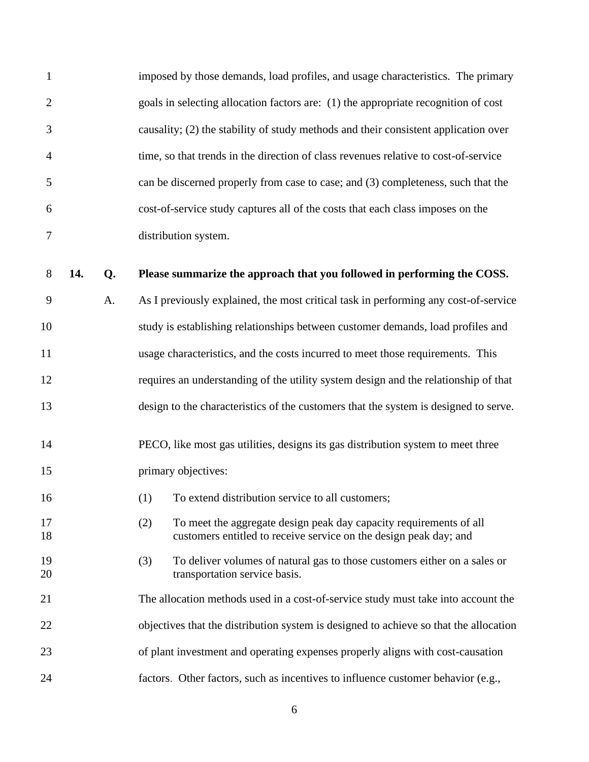| 1                |     |    | imposed by those demands, load profiles, and usage characteristics. The primary                                                                |
|------------------|-----|----|------------------------------------------------------------------------------------------------------------------------------------------------|
| $\overline{2}$   |     |    | goals in selecting allocation factors are: (1) the appropriate recognition of cost                                                             |
| 3                |     |    | causality; (2) the stability of study methods and their consistent application over                                                            |
| $\overline{4}$   |     |    | time, so that trends in the direction of class revenues relative to cost-of-service                                                            |
| 5                |     |    | can be discerned properly from case to case; and (3) completeness, such that the                                                               |
| 6                |     |    | cost-of-service study captures all of the costs that each class imposes on the                                                                 |
| $\boldsymbol{7}$ |     |    | distribution system.                                                                                                                           |
| $8\,$            | 14. | Q. | Please summarize the approach that you followed in performing the COSS.                                                                        |
| 9                |     | A. | As I previously explained, the most critical task in performing any cost-of-service                                                            |
| 10               |     |    | study is establishing relationships between customer demands, load profiles and                                                                |
| 11               |     |    | usage characteristics, and the costs incurred to meet those requirements. This                                                                 |
| 12               |     |    | requires an understanding of the utility system design and the relationship of that                                                            |
| 13               |     |    | design to the characteristics of the customers that the system is designed to serve.                                                           |
| 14               |     |    | PECO, like most gas utilities, designs its gas distribution system to meet three                                                               |
| 15               |     |    | primary objectives:                                                                                                                            |
| 16               |     |    | (1) To extend distribution service to all customers;                                                                                           |
| 17<br>18         |     |    | To meet the aggregate design peak day capacity requirements of all<br>(2)<br>customers entitled to receive service on the design peak day; and |
| 19<br>20         |     |    | To deliver volumes of natural gas to those customers either on a sales or<br>(3)<br>transportation service basis.                              |
| 21               |     |    | The allocation methods used in a cost-of-service study must take into account the                                                              |
| 22               |     |    | objectives that the distribution system is designed to achieve so that the allocation                                                          |
| 23               |     |    | of plant investment and operating expenses properly aligns with cost-causation                                                                 |
| 24               |     |    | factors. Other factors, such as incentives to influence customer behavior (e.g.,                                                               |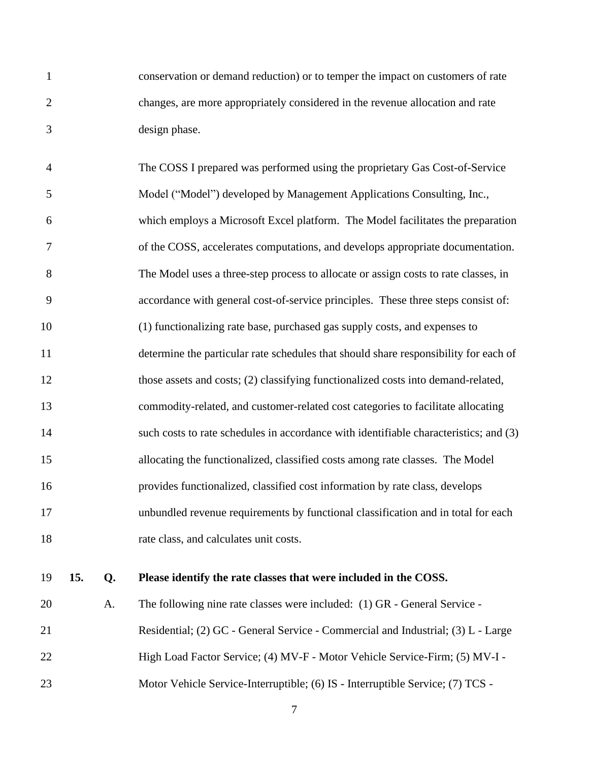conservation or demand reduction) or to temper the impact on customers of rate changes, are more appropriately considered in the revenue allocation and rate design phase.

 The COSS I prepared was performed using the proprietary Gas Cost-of-Service Model ("Model") developed by Management Applications Consulting, Inc., which employs a Microsoft Excel platform. The Model facilitates the preparation of the COSS, accelerates computations, and develops appropriate documentation. The Model uses a three-step process to allocate or assign costs to rate classes, in accordance with general cost-of-service principles. These three steps consist of: (1) functionalizing rate base, purchased gas supply costs, and expenses to determine the particular rate schedules that should share responsibility for each of those assets and costs; (2) classifying functionalized costs into demand-related, commodity-related, and customer-related cost categories to facilitate allocating 14 such costs to rate schedules in accordance with identifiable characteristics; and (3) allocating the functionalized, classified costs among rate classes. The Model provides functionalized, classified cost information by rate class, develops unbundled revenue requirements by functional classification and in total for each rate class, and calculates unit costs.

#### **15. Q. Please identify the rate classes that were included in the COSS.**

 A. The following nine rate classes were included: (1) GR - General Service - Residential; (2) GC - General Service - Commercial and Industrial; (3) L - Large High Load Factor Service; (4) MV-F - Motor Vehicle Service-Firm; (5) MV-I - 23 Motor Vehicle Service-Interruptible; (6) IS - Interruptible Service; (7) TCS -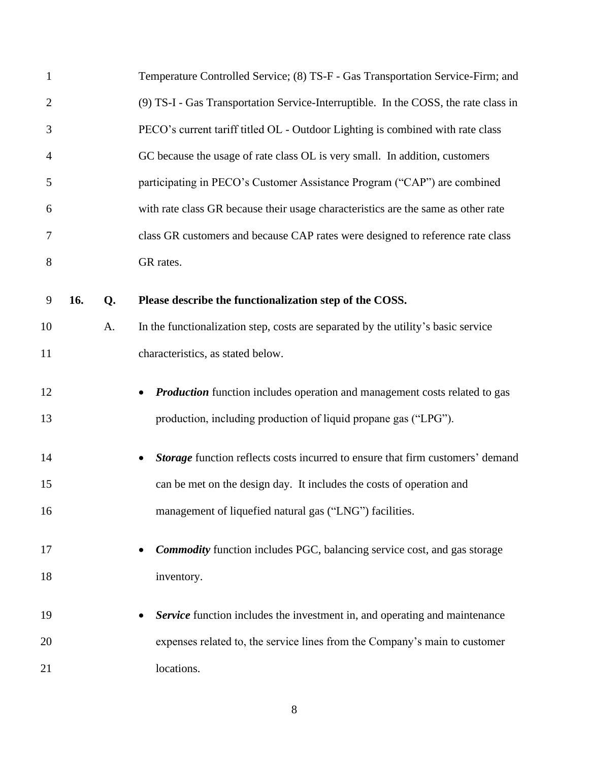| 1              |     |    | Temperature Controlled Service; (8) TS-F - Gas Transportation Service-Firm; and                                                                      |
|----------------|-----|----|------------------------------------------------------------------------------------------------------------------------------------------------------|
| $\overline{2}$ |     |    | (9) TS-I - Gas Transportation Service-Interruptible. In the COSS, the rate class in                                                                  |
| 3              |     |    | PECO's current tariff titled OL - Outdoor Lighting is combined with rate class                                                                       |
| $\overline{4}$ |     |    | GC because the usage of rate class OL is very small. In addition, customers                                                                          |
| 5              |     |    | participating in PECO's Customer Assistance Program ("CAP") are combined                                                                             |
| 6              |     |    | with rate class GR because their usage characteristics are the same as other rate                                                                    |
| 7              |     |    | class GR customers and because CAP rates were designed to reference rate class                                                                       |
| 8              |     |    | GR rates.                                                                                                                                            |
| 9              | 16. | Q. | Please describe the functionalization step of the COSS.                                                                                              |
| 10             |     | A. | In the functionalization step, costs are separated by the utility's basic service                                                                    |
| 11             |     |    | characteristics, as stated below.                                                                                                                    |
| 12<br>13       |     |    | <b>Production</b> function includes operation and management costs related to gas<br>production, including production of liquid propane gas ("LPG"). |
| 14             |     |    | Storage function reflects costs incurred to ensure that firm customers' demand                                                                       |
| 15             |     |    | can be met on the design day. It includes the costs of operation and                                                                                 |
| 16             |     |    | management of liquefied natural gas ("LNG") facilities.                                                                                              |
| 17             |     |    | <b>Commodity</b> function includes PGC, balancing service cost, and gas storage                                                                      |
| 18             |     |    | inventory.                                                                                                                                           |
| 19             |     |    | Service function includes the investment in, and operating and maintenance                                                                           |
| 20             |     |    | expenses related to, the service lines from the Company's main to customer                                                                           |
| 21             |     |    | locations.                                                                                                                                           |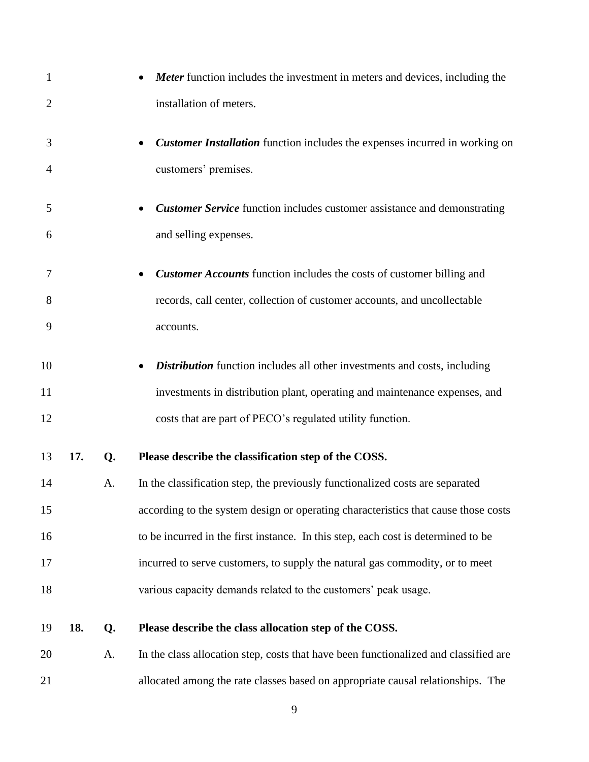| $\mathbf{1}$   |     |    | <b>Meter</b> function includes the investment in meters and devices, including the   |
|----------------|-----|----|--------------------------------------------------------------------------------------|
| $\overline{2}$ |     |    | installation of meters.                                                              |
| 3              |     |    | <b>Customer Installation</b> function includes the expenses incurred in working on   |
| $\overline{4}$ |     |    | customers' premises.                                                                 |
| 5              |     |    | <b>Customer Service</b> function includes customer assistance and demonstrating      |
| 6              |     |    | and selling expenses.                                                                |
| 7              |     |    | <b>Customer Accounts</b> function includes the costs of customer billing and         |
| 8              |     |    | records, call center, collection of customer accounts, and uncollectable             |
| 9              |     |    | accounts.                                                                            |
| 10             |     |    | <b>Distribution</b> function includes all other investments and costs, including     |
| 11             |     |    | investments in distribution plant, operating and maintenance expenses, and           |
| 12             |     |    | costs that are part of PECO's regulated utility function.                            |
| 13             | 17. | Q. | Please describe the classification step of the COSS.                                 |
| 14             |     | A. | In the classification step, the previously functionalized costs are separated        |
| 15             |     |    | according to the system design or operating characteristics that cause those costs   |
| 16             |     |    | to be incurred in the first instance. In this step, each cost is determined to be    |
| 17             |     |    | incurred to serve customers, to supply the natural gas commodity, or to meet         |
| 18             |     |    | various capacity demands related to the customers' peak usage.                       |
| 19             | 18. | Q. | Please describe the class allocation step of the COSS.                               |
| 20             |     | A. | In the class allocation step, costs that have been functionalized and classified are |
| 21             |     |    | allocated among the rate classes based on appropriate causal relationships. The      |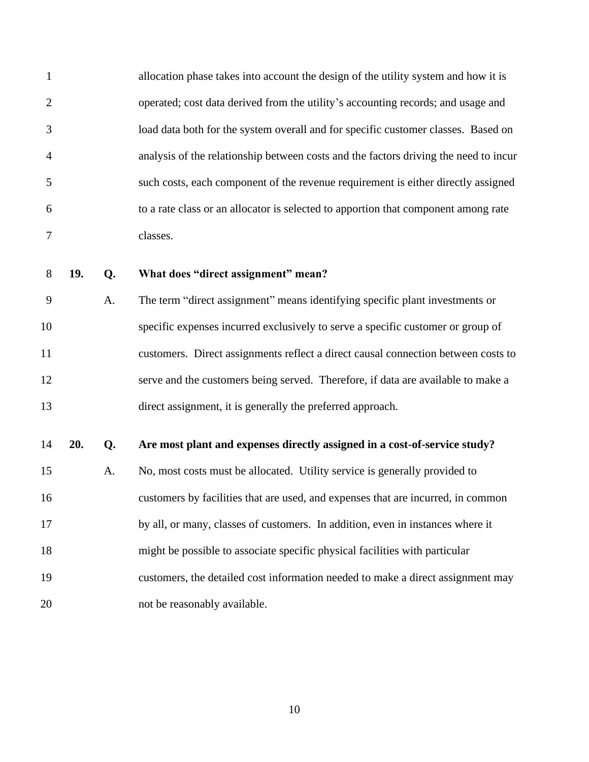allocation phase takes into account the design of the utility system and how it is operated; cost data derived from the utility's accounting records; and usage and load data both for the system overall and for specific customer classes. Based on analysis of the relationship between costs and the factors driving the need to incur such costs, each component of the revenue requirement is either directly assigned to a rate class or an allocator is selected to apportion that component among rate classes.

#### **19. Q. What does "direct assignment" mean?**

 A. The term "direct assignment" means identifying specific plant investments or specific expenses incurred exclusively to serve a specific customer or group of customers. Direct assignments reflect a direct causal connection between costs to serve and the customers being served. Therefore, if data are available to make a direct assignment, it is generally the preferred approach.

#### **20. Q. Are most plant and expenses directly assigned in a cost-of-service study?**

 A. No, most costs must be allocated. Utility service is generally provided to customers by facilities that are used, and expenses that are incurred, in common by all, or many, classes of customers. In addition, even in instances where it might be possible to associate specific physical facilities with particular customers, the detailed cost information needed to make a direct assignment may 20 not be reasonably available.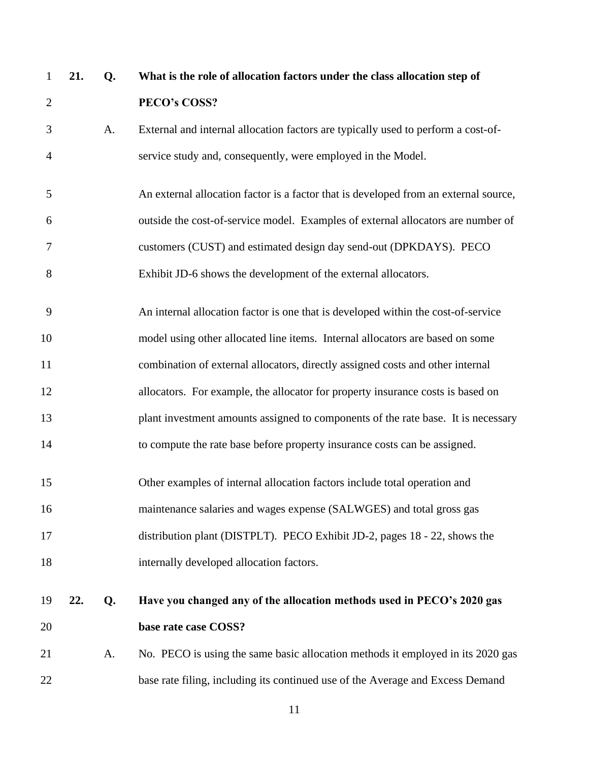| $\mathbf{1}$   | 21. | Q. | What is the role of allocation factors under the class allocation step of            |
|----------------|-----|----|--------------------------------------------------------------------------------------|
| $\overline{2}$ |     |    | PECO's COSS?                                                                         |
| 3              |     | A. | External and internal allocation factors are typically used to perform a cost-of-    |
| $\overline{4}$ |     |    | service study and, consequently, were employed in the Model.                         |
| 5              |     |    | An external allocation factor is a factor that is developed from an external source, |
| 6              |     |    | outside the cost-of-service model. Examples of external allocators are number of     |
| 7              |     |    | customers (CUST) and estimated design day send-out (DPKDAYS). PECO                   |
| 8              |     |    | Exhibit JD-6 shows the development of the external allocators.                       |
| 9              |     |    | An internal allocation factor is one that is developed within the cost-of-service    |
| 10             |     |    | model using other allocated line items. Internal allocators are based on some        |
| 11             |     |    | combination of external allocators, directly assigned costs and other internal       |
| 12             |     |    | allocators. For example, the allocator for property insurance costs is based on      |
| 13             |     |    | plant investment amounts assigned to components of the rate base. It is necessary    |
| 14             |     |    | to compute the rate base before property insurance costs can be assigned.            |
| 15             |     |    | Other examples of internal allocation factors include total operation and            |
| 16             |     |    | maintenance salaries and wages expense (SALWGES) and total gross gas                 |
| 17             |     |    | distribution plant (DISTPLT). PECO Exhibit JD-2, pages 18 - 22, shows the            |
| 18             |     |    | internally developed allocation factors.                                             |
| 19             | 22. | Q. | Have you changed any of the allocation methods used in PECO's 2020 gas               |
| 20             |     |    | base rate case COSS?                                                                 |
| 21             |     | A. | No. PECO is using the same basic allocation methods it employed in its 2020 gas      |
| 22             |     |    | base rate filing, including its continued use of the Average and Excess Demand       |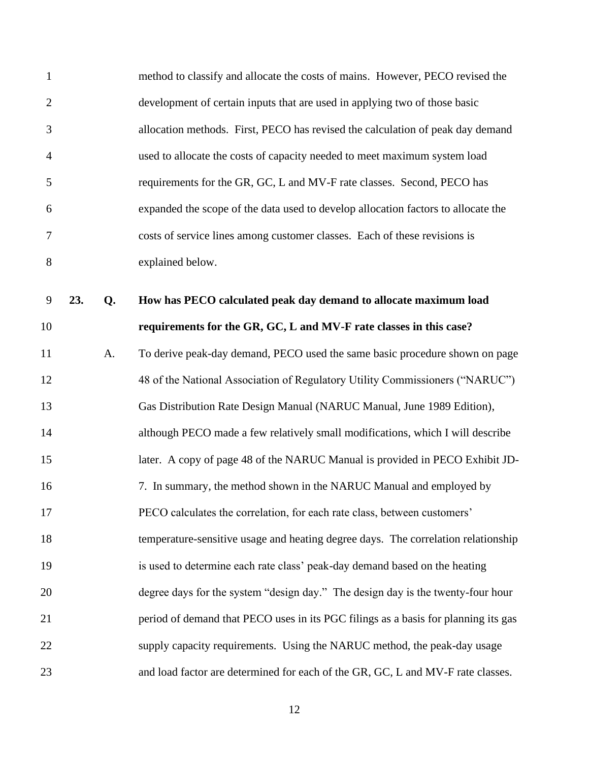| $\mathbf{1}$   |     |    | method to classify and allocate the costs of mains. However, PECO revised the      |
|----------------|-----|----|------------------------------------------------------------------------------------|
| $\overline{2}$ |     |    | development of certain inputs that are used in applying two of those basic         |
| 3              |     |    | allocation methods. First, PECO has revised the calculation of peak day demand     |
| $\overline{4}$ |     |    | used to allocate the costs of capacity needed to meet maximum system load          |
| 5              |     |    | requirements for the GR, GC, L and MV-F rate classes. Second, PECO has             |
| 6              |     |    | expanded the scope of the data used to develop allocation factors to allocate the  |
| $\tau$         |     |    | costs of service lines among customer classes. Each of these revisions is          |
| 8              |     |    | explained below.                                                                   |
| $\overline{9}$ | 23. | Q. | How has PECO calculated peak day demand to allocate maximum load                   |
| 10             |     |    | requirements for the GR, GC, L and MV-F rate classes in this case?                 |
| 11             |     | A. | To derive peak-day demand, PECO used the same basic procedure shown on page        |
| 12             |     |    | 48 of the National Association of Regulatory Utility Commissioners ("NARUC")       |
| 13             |     |    | Gas Distribution Rate Design Manual (NARUC Manual, June 1989 Edition),             |
| 14             |     |    | although PECO made a few relatively small modifications, which I will describe     |
| 15             |     |    | later. A copy of page 48 of the NARUC Manual is provided in PECO Exhibit JD-       |
| 16             |     |    | 7. In summary, the method shown in the NARUC Manual and employed by                |
| 17             |     |    | PECO calculates the correlation, for each rate class, between customers'           |
| 18             |     |    | temperature-sensitive usage and heating degree days. The correlation relationship  |
| 19             |     |    | is used to determine each rate class' peak-day demand based on the heating         |
| 20             |     |    | degree days for the system "design day." The design day is the twenty-four hour    |
| 21             |     |    | period of demand that PECO uses in its PGC filings as a basis for planning its gas |
| 22             |     |    | supply capacity requirements. Using the NARUC method, the peak-day usage           |
| 23             |     |    | and load factor are determined for each of the GR, GC, L and MV-F rate classes.    |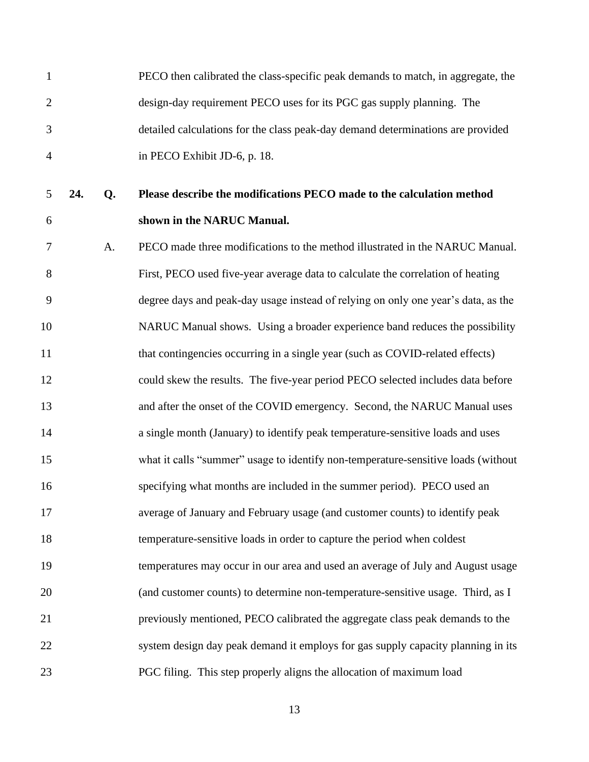PECO then calibrated the class-specific peak demands to match, in aggregate, the design-day requirement PECO uses for its PGC gas supply planning. The detailed calculations for the class peak-day demand determinations are provided in PECO Exhibit JD-6, p. 18. **24. Q. Please describe the modifications PECO made to the calculation method shown in the NARUC Manual.** A. PECO made three modifications to the method illustrated in the NARUC Manual. First, PECO used five-year average data to calculate the correlation of heating degree days and peak-day usage instead of relying on only one year's data, as the NARUC Manual shows. Using a broader experience band reduces the possibility 11 that contingencies occurring in a single year (such as COVID-related effects) could skew the results. The five-year period PECO selected includes data before 13 and after the onset of the COVID emergency. Second, the NARUC Manual uses a single month (January) to identify peak temperature-sensitive loads and uses what it calls "summer" usage to identify non-temperature-sensitive loads (without specifying what months are included in the summer period). PECO used an average of January and February usage (and customer counts) to identify peak temperature-sensitive loads in order to capture the period when coldest temperatures may occur in our area and used an average of July and August usage (and customer counts) to determine non-temperature-sensitive usage. Third, as I previously mentioned, PECO calibrated the aggregate class peak demands to the system design day peak demand it employs for gas supply capacity planning in its PGC filing. This step properly aligns the allocation of maximum load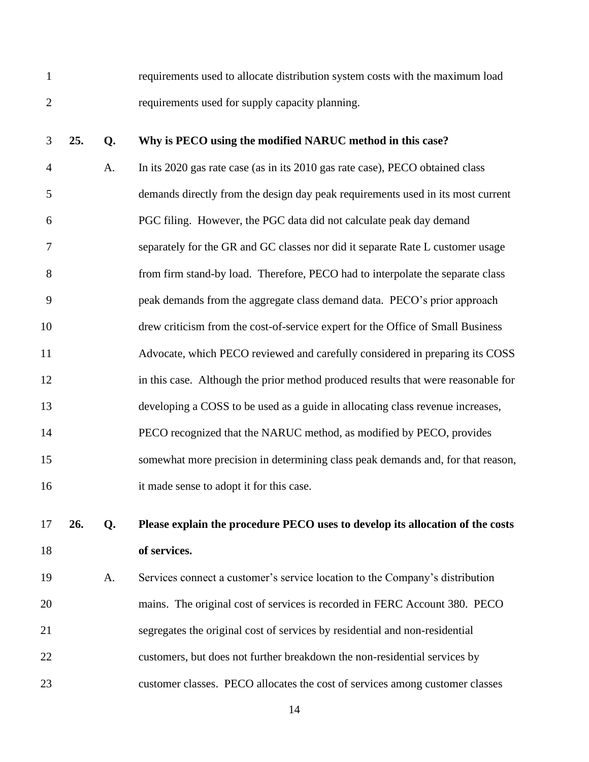requirements used to allocate distribution system costs with the maximum load requirements used for supply capacity planning.

#### **25. Q. Why is PECO using the modified NARUC method in this case?**

 A. In its 2020 gas rate case (as in its 2010 gas rate case), PECO obtained class demands directly from the design day peak requirements used in its most current PGC filing. However, the PGC data did not calculate peak day demand separately for the GR and GC classes nor did it separate Rate L customer usage from firm stand-by load. Therefore, PECO had to interpolate the separate class peak demands from the aggregate class demand data. PECO's prior approach drew criticism from the cost-of-service expert for the Office of Small Business Advocate, which PECO reviewed and carefully considered in preparing its COSS in this case. Although the prior method produced results that were reasonable for developing a COSS to be used as a guide in allocating class revenue increases, PECO recognized that the NARUC method, as modified by PECO, provides somewhat more precision in determining class peak demands and, for that reason, it made sense to adopt it for this case.

## **26. Q. Please explain the procedure PECO uses to develop its allocation of the costs of services.**

 A. Services connect a customer's service location to the Company's distribution mains. The original cost of services is recorded in FERC Account 380. PECO segregates the original cost of services by residential and non-residential customers, but does not further breakdown the non-residential services by customer classes. PECO allocates the cost of services among customer classes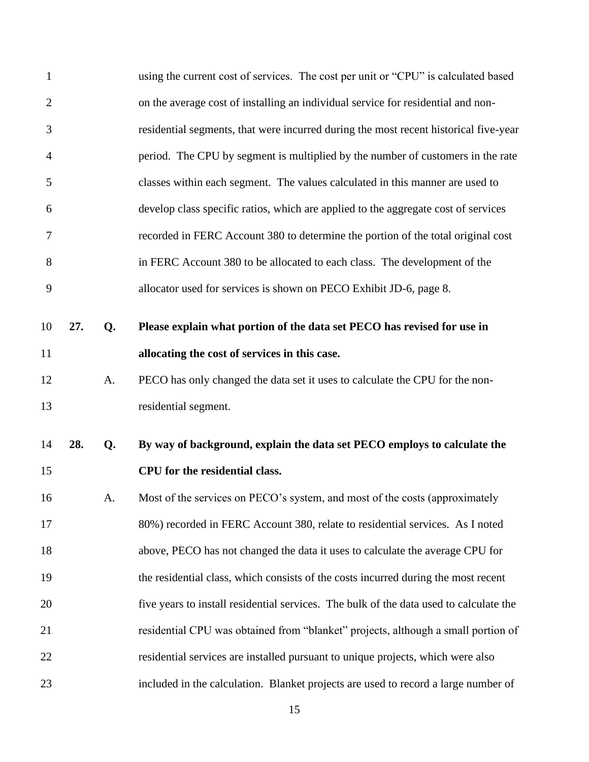| $\mathbf{1}$   |     |    | using the current cost of services. The cost per unit or "CPU" is calculated based     |
|----------------|-----|----|----------------------------------------------------------------------------------------|
| $\overline{2}$ |     |    | on the average cost of installing an individual service for residential and non-       |
| 3              |     |    | residential segments, that were incurred during the most recent historical five-year   |
| $\overline{4}$ |     |    | period. The CPU by segment is multiplied by the number of customers in the rate        |
| 5              |     |    | classes within each segment. The values calculated in this manner are used to          |
| 6              |     |    | develop class specific ratios, which are applied to the aggregate cost of services     |
| 7              |     |    | recorded in FERC Account 380 to determine the portion of the total original cost       |
| 8              |     |    | in FERC Account 380 to be allocated to each class. The development of the              |
| 9              |     |    | allocator used for services is shown on PECO Exhibit JD-6, page 8.                     |
| 10             | 27. | Q. | Please explain what portion of the data set PECO has revised for use in                |
| 11             |     |    | allocating the cost of services in this case.                                          |
| 12             |     | A. | PECO has only changed the data set it uses to calculate the CPU for the non-           |
| 13             |     |    | residential segment.                                                                   |
| 14             | 28. | Q. | By way of background, explain the data set PECO employs to calculate the               |
| 15             |     |    | CPU for the residential class.                                                         |
| 16             |     | A. | Most of the services on PECO's system, and most of the costs (approximately            |
| 17             |     |    | 80%) recorded in FERC Account 380, relate to residential services. As I noted          |
| 18             |     |    | above, PECO has not changed the data it uses to calculate the average CPU for          |
| 19             |     |    | the residential class, which consists of the costs incurred during the most recent     |
| 20             |     |    | five years to install residential services. The bulk of the data used to calculate the |
| 21             |     |    | residential CPU was obtained from "blanket" projects, although a small portion of      |
| 22             |     |    | residential services are installed pursuant to unique projects, which were also        |
| 23             |     |    | included in the calculation. Blanket projects are used to record a large number of     |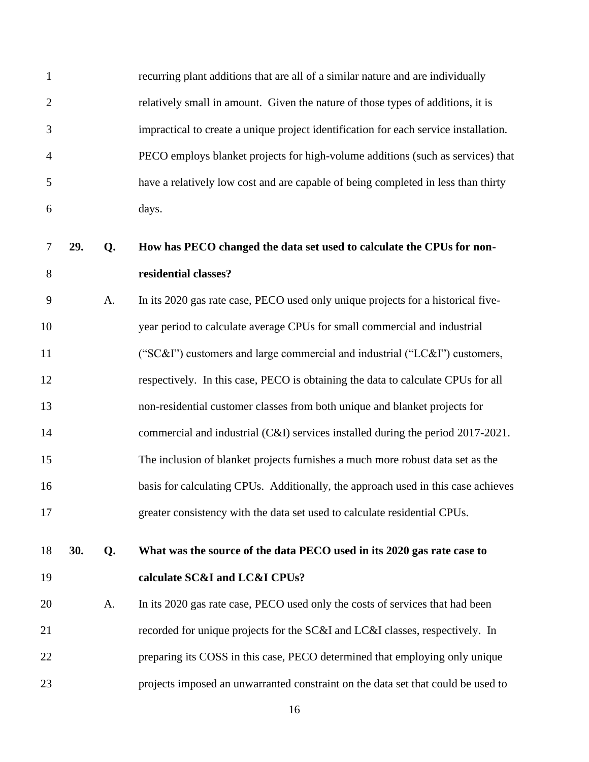| $\mathbf{1}$   |     |    | recurring plant additions that are all of a similar nature and are individually      |
|----------------|-----|----|--------------------------------------------------------------------------------------|
| $\overline{2}$ |     |    | relatively small in amount. Given the nature of those types of additions, it is      |
| 3              |     |    | impractical to create a unique project identification for each service installation. |
| $\overline{4}$ |     |    | PECO employs blanket projects for high-volume additions (such as services) that      |
| 5              |     |    | have a relatively low cost and are capable of being completed in less than thirty    |
| 6              |     |    | days.                                                                                |
| 7              | 29. | Q. | How has PECO changed the data set used to calculate the CPUs for non-                |
| 8              |     |    | residential classes?                                                                 |
| 9              |     | A. | In its 2020 gas rate case, PECO used only unique projects for a historical five-     |
| 10             |     |    | year period to calculate average CPUs for small commercial and industrial            |
| 11             |     |    | ("SC&I") customers and large commercial and industrial ("LC&I") customers,           |
| 12             |     |    | respectively. In this case, PECO is obtaining the data to calculate CPUs for all     |
| 13             |     |    | non-residential customer classes from both unique and blanket projects for           |
| 14             |     |    | commercial and industrial (C&I) services installed during the period 2017-2021.      |
| 15             |     |    | The inclusion of blanket projects furnishes a much more robust data set as the       |
| 16             |     |    | basis for calculating CPUs. Additionally, the approach used in this case achieves    |
| 17             |     |    | greater consistency with the data set used to calculate residential CPUs.            |
| 18             | 30. | Q. | What was the source of the data PECO used in its 2020 gas rate case to               |
| 19             |     |    | calculate SC&I and LC&I CPUs?                                                        |
| 20             |     | A. | In its 2020 gas rate case, PECO used only the costs of services that had been        |
| 21             |     |    | recorded for unique projects for the SC&I and LC&I classes, respectively. In         |
| 22             |     |    | preparing its COSS in this case, PECO determined that employing only unique          |
| 23             |     |    | projects imposed an unwarranted constraint on the data set that could be used to     |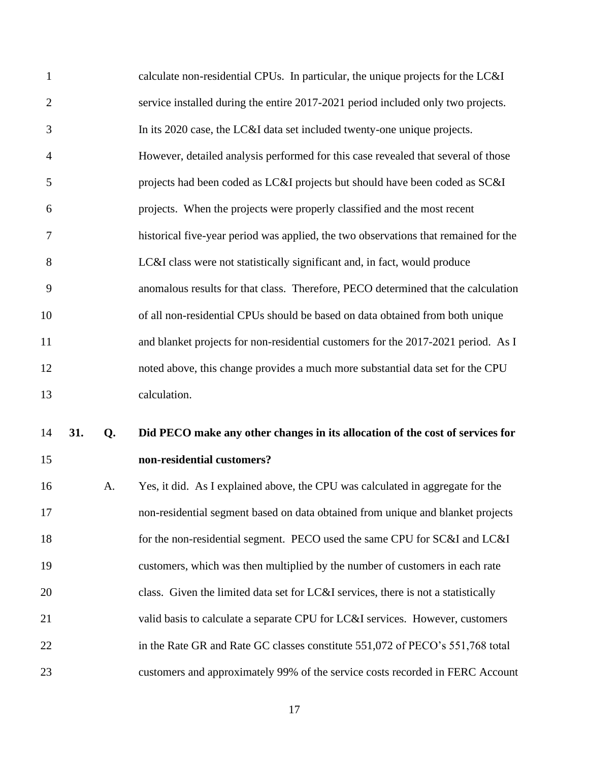| 15             |     |    | non-residential customers?                                                          |
|----------------|-----|----|-------------------------------------------------------------------------------------|
| 14             | 31. | Q. | Did PECO make any other changes in its allocation of the cost of services for       |
| 13             |     |    | calculation.                                                                        |
| 12             |     |    | noted above, this change provides a much more substantial data set for the CPU      |
| 11             |     |    | and blanket projects for non-residential customers for the 2017-2021 period. As I   |
| 10             |     |    | of all non-residential CPUs should be based on data obtained from both unique       |
| 9              |     |    | anomalous results for that class. Therefore, PECO determined that the calculation   |
| 8              |     |    | LC&I class were not statistically significant and, in fact, would produce           |
| 7              |     |    | historical five-year period was applied, the two observations that remained for the |
| 6              |     |    | projects. When the projects were properly classified and the most recent            |
| 5              |     |    | projects had been coded as LC&I projects but should have been coded as SC&I         |
| $\overline{4}$ |     |    | However, detailed analysis performed for this case revealed that several of those   |
| 3              |     |    | In its 2020 case, the LC&I data set included twenty-one unique projects.            |
| $\overline{2}$ |     |    | service installed during the entire 2017-2021 period included only two projects.    |
| $\mathbf{1}$   |     |    | calculate non-residential CPUs. In particular, the unique projects for the LC&I     |

 A. Yes, it did. As I explained above, the CPU was calculated in aggregate for the non-residential segment based on data obtained from unique and blanket projects for the non-residential segment. PECO used the same CPU for SC&I and LC&I customers, which was then multiplied by the number of customers in each rate class. Given the limited data set for LC&I services, there is not a statistically 21 valid basis to calculate a separate CPU for LC&I services. However, customers 22 in the Rate GR and Rate GC classes constitute 551,072 of PECO's 551,768 total customers and approximately 99% of the service costs recorded in FERC Account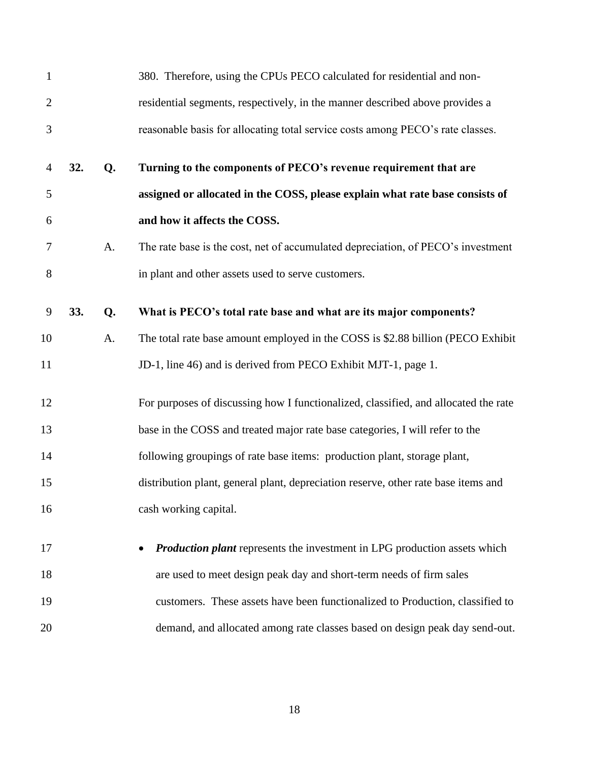| $\mathbf{1}$   |     |    | 380. Therefore, using the CPUs PECO calculated for residential and non-             |
|----------------|-----|----|-------------------------------------------------------------------------------------|
| $\overline{2}$ |     |    | residential segments, respectively, in the manner described above provides a        |
| 3              |     |    | reasonable basis for allocating total service costs among PECO's rate classes.      |
| $\overline{4}$ | 32. | Q. | Turning to the components of PECO's revenue requirement that are                    |
| 5              |     |    | assigned or allocated in the COSS, please explain what rate base consists of        |
| 6              |     |    | and how it affects the COSS.                                                        |
| 7              |     | A. | The rate base is the cost, net of accumulated depreciation, of PECO's investment    |
| 8              |     |    | in plant and other assets used to serve customers.                                  |
| 9              | 33. | Q. | What is PECO's total rate base and what are its major components?                   |
| 10             |     | A. | The total rate base amount employed in the COSS is \$2.88 billion (PECO Exhibit     |
| 11             |     |    | JD-1, line 46) and is derived from PECO Exhibit MJT-1, page 1.                      |
| 12             |     |    | For purposes of discussing how I functionalized, classified, and allocated the rate |
| 13             |     |    | base in the COSS and treated major rate base categories, I will refer to the        |
| 14             |     |    | following groupings of rate base items: production plant, storage plant,            |
| 15             |     |    | distribution plant, general plant, depreciation reserve, other rate base items and  |
| 16             |     |    | cash working capital.                                                               |
| 17             |     |    | <b>Production plant</b> represents the investment in LPG production assets which    |
| 18             |     |    | are used to meet design peak day and short-term needs of firm sales                 |
| 19             |     |    | customers. These assets have been functionalized to Production, classified to       |
| 20             |     |    | demand, and allocated among rate classes based on design peak day send-out.         |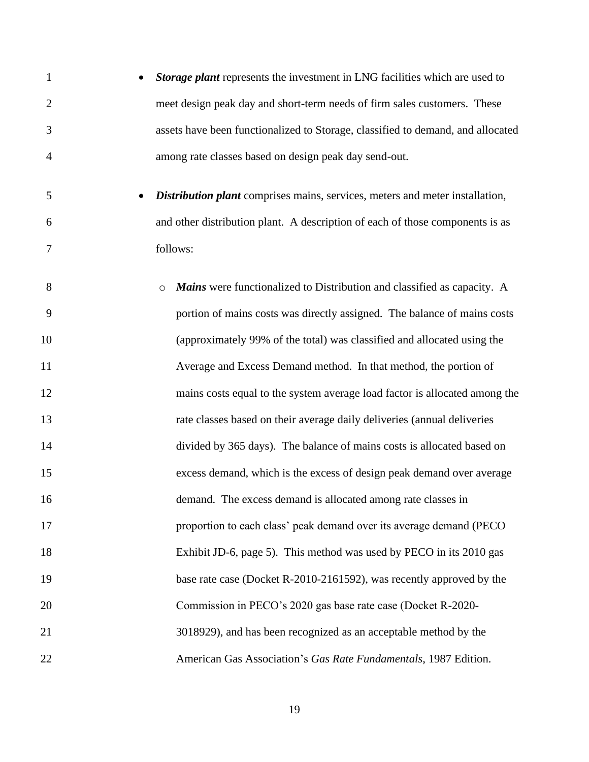| $\mathbf{1}$   | Storage plant represents the investment in LNG facilities which are used to         |
|----------------|-------------------------------------------------------------------------------------|
| $\overline{2}$ | meet design peak day and short-term needs of firm sales customers. These            |
| 3              | assets have been functionalized to Storage, classified to demand, and allocated     |
| $\overline{4}$ | among rate classes based on design peak day send-out.                               |
| 5              | <b>Distribution plant</b> comprises mains, services, meters and meter installation, |
| 6              | and other distribution plant. A description of each of those components is as       |
| 7              | follows:                                                                            |
| 8              | Mains were functionalized to Distribution and classified as capacity. A<br>$\circ$  |
| 9              | portion of mains costs was directly assigned. The balance of mains costs            |
| 10             | (approximately 99% of the total) was classified and allocated using the             |
| 11             | Average and Excess Demand method. In that method, the portion of                    |
| 12             | mains costs equal to the system average load factor is allocated among the          |
| 13             | rate classes based on their average daily deliveries (annual deliveries             |
| 14             | divided by 365 days). The balance of mains costs is allocated based on              |
| 15             | excess demand, which is the excess of design peak demand over average               |
| 16             | demand. The excess demand is allocated among rate classes in                        |
| 17             | proportion to each class' peak demand over its average demand (PECO                 |
| 18             | Exhibit JD-6, page 5). This method was used by PECO in its 2010 gas                 |
| 19             | base rate case (Docket R-2010-2161592), was recently approved by the                |
| 20             | Commission in PECO's 2020 gas base rate case (Docket R-2020-                        |
| 21             | 3018929), and has been recognized as an acceptable method by the                    |
| 22             | American Gas Association's Gas Rate Fundamentals, 1987 Edition.                     |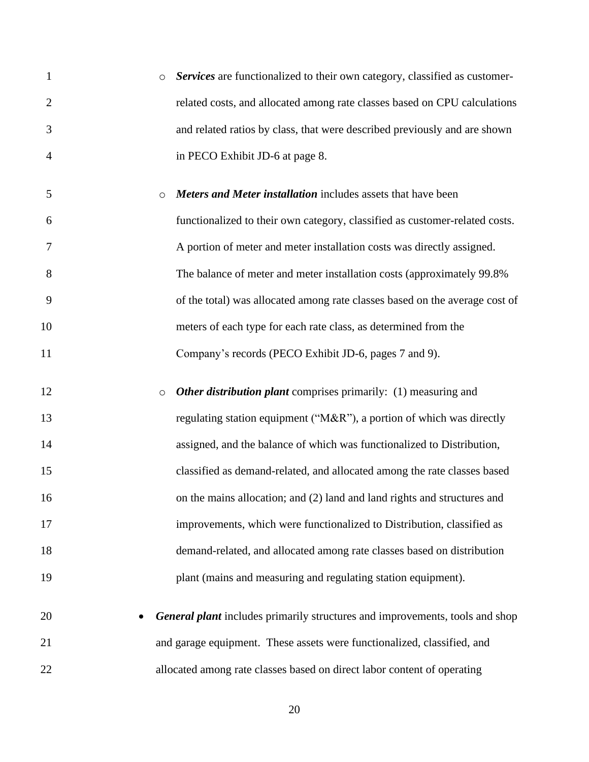| $\mathbf{1}$   | $\circ$             | Services are functionalized to their own category, classified as customer-          |
|----------------|---------------------|-------------------------------------------------------------------------------------|
| $\overline{2}$ |                     | related costs, and allocated among rate classes based on CPU calculations           |
| 3              |                     | and related ratios by class, that were described previously and are shown           |
| 4              |                     | in PECO Exhibit JD-6 at page 8.                                                     |
| 5              | $\circ$             | Meters and Meter installation includes assets that have been                        |
| 6              |                     | functionalized to their own category, classified as customer-related costs.         |
| 7              |                     | A portion of meter and meter installation costs was directly assigned.              |
| 8              |                     | The balance of meter and meter installation costs (approximately 99.8%)             |
| 9              |                     | of the total) was allocated among rate classes based on the average cost of         |
| 10             |                     | meters of each type for each rate class, as determined from the                     |
| 11             |                     | Company's records (PECO Exhibit JD-6, pages 7 and 9).                               |
| 12             | $\circlearrowright$ | <b>Other distribution plant</b> comprises primarily: (1) measuring and              |
| 13             |                     | regulating station equipment (" $M&R$ "), a portion of which was directly           |
| 14             |                     | assigned, and the balance of which was functionalized to Distribution,              |
| 15             |                     | classified as demand-related, and allocated among the rate classes based            |
| 16             |                     | on the mains allocation; and (2) land and land rights and structures and            |
| 17             |                     | improvements, which were functionalized to Distribution, classified as              |
| 18             |                     | demand-related, and allocated among rate classes based on distribution              |
| 19             |                     | plant (mains and measuring and regulating station equipment).                       |
| 20             |                     | <b>General plant</b> includes primarily structures and improvements, tools and shop |
| 21             |                     | and garage equipment. These assets were functionalized, classified, and             |
|                |                     |                                                                                     |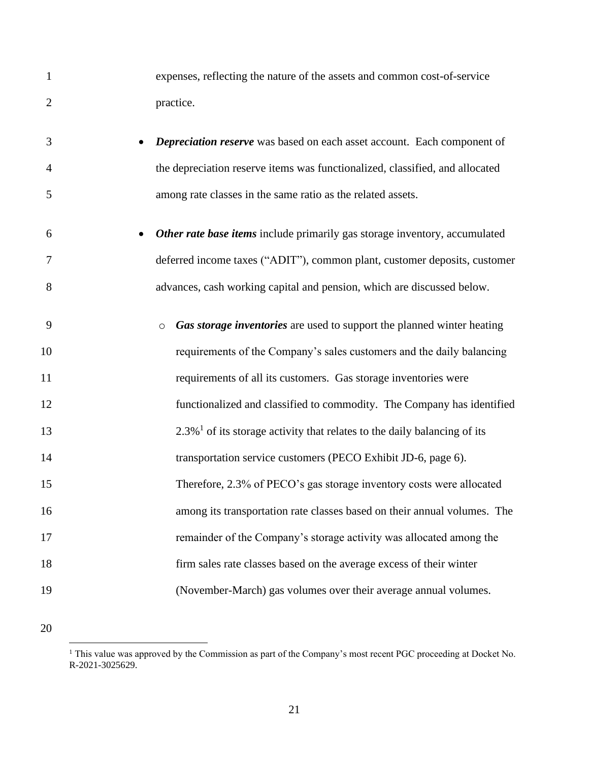| $\mathbf{1}$   | expenses, reflecting the nature of the assets and common cost-of-service                |
|----------------|-----------------------------------------------------------------------------------------|
| $\overline{2}$ | practice.                                                                               |
| 3              | Depreciation reserve was based on each asset account. Each component of                 |
| 4              | the depreciation reserve items was functionalized, classified, and allocated            |
| 5              | among rate classes in the same ratio as the related assets.                             |
| 6              | Other rate base items include primarily gas storage inventory, accumulated              |
| 7              | deferred income taxes ("ADIT"), common plant, customer deposits, customer               |
| 8              | advances, cash working capital and pension, which are discussed below.                  |
| 9              | Gas storage inventories are used to support the planned winter heating<br>$\circ$       |
| 10             | requirements of the Company's sales customers and the daily balancing                   |
| 11             | requirements of all its customers. Gas storage inventories were                         |
| 12             | functionalized and classified to commodity. The Company has identified                  |
| 13             | $2.3\%$ <sup>1</sup> of its storage activity that relates to the daily balancing of its |
| 14             | transportation service customers (PECO Exhibit JD-6, page 6).                           |
| 15             | Therefore, 2.3% of PECO's gas storage inventory costs were allocated                    |
| 16             | among its transportation rate classes based on their annual volumes. The                |
| 17             | remainder of the Company's storage activity was allocated among the                     |
| 18             | firm sales rate classes based on the average excess of their winter                     |
| 19             | (November-March) gas volumes over their average annual volumes.                         |

<sup>&</sup>lt;sup>1</sup> This value was approved by the Commission as part of the Company's most recent PGC proceeding at Docket No. R-2021-3025629.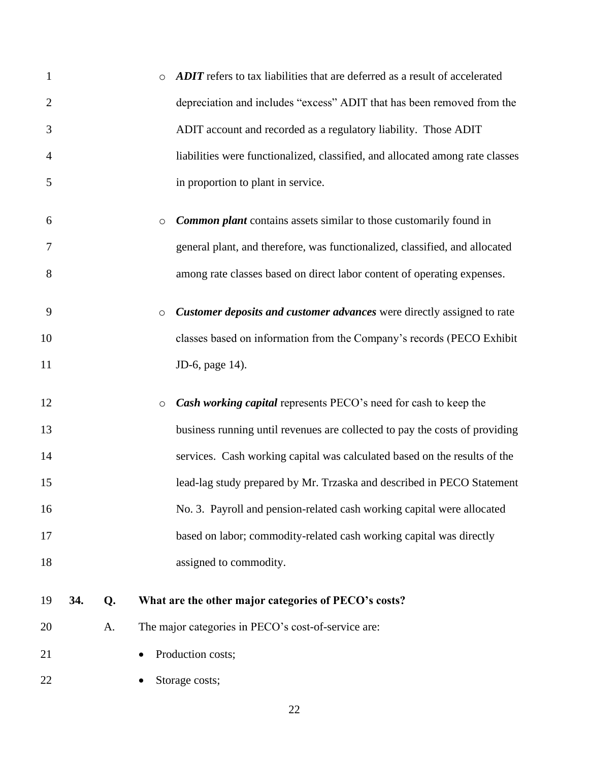| $\mathbf{1}$   |     |    | <b>ADIT</b> refers to tax liabilities that are deferred as a result of accelerated   |
|----------------|-----|----|--------------------------------------------------------------------------------------|
| $\overline{2}$ |     |    | depreciation and includes "excess" ADIT that has been removed from the               |
| 3              |     |    | ADIT account and recorded as a regulatory liability. Those ADIT                      |
| 4              |     |    | liabilities were functionalized, classified, and allocated among rate classes        |
| 5              |     |    | in proportion to plant in service.                                                   |
| 6              |     |    | <b>Common plant</b> contains assets similar to those customarily found in<br>$\circ$ |
| 7              |     |    | general plant, and therefore, was functionalized, classified, and allocated          |
| 8              |     |    | among rate classes based on direct labor content of operating expenses.              |
| 9              |     |    | Customer deposits and customer advances were directly assigned to rate<br>$\circ$    |
| 10             |     |    | classes based on information from the Company's records (PECO Exhibit                |
| 11             |     |    | JD-6, page 14).                                                                      |
| 12             |     |    | Cash working capital represents PECO's need for cash to keep the<br>$\circ$          |
| 13             |     |    | business running until revenues are collected to pay the costs of providing          |
|                |     |    |                                                                                      |
| 14             |     |    | services. Cash working capital was calculated based on the results of the            |
| 15             |     |    | lead-lag study prepared by Mr. Trzaska and described in PECO Statement               |
| 16             |     |    | No. 3. Payroll and pension-related cash working capital were allocated               |
| 17             |     |    | based on labor; commodity-related cash working capital was directly                  |
| 18             |     |    | assigned to commodity.                                                               |
| 19             | 34. | Q. | What are the other major categories of PECO's costs?                                 |
| 20             |     | A. | The major categories in PECO's cost-of-service are:                                  |
| 21             |     |    | Production costs;                                                                    |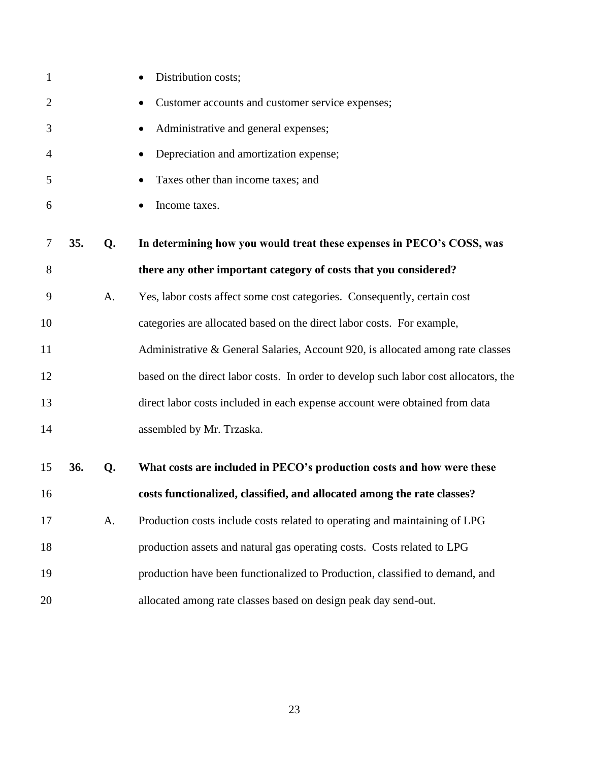| $\mathbf{1}$   |     |    | Distribution costs;                                                                  |
|----------------|-----|----|--------------------------------------------------------------------------------------|
| $\overline{2}$ |     |    | Customer accounts and customer service expenses;                                     |
| 3              |     |    | Administrative and general expenses;                                                 |
| 4              |     |    | Depreciation and amortization expense;                                               |
| 5              |     |    | Taxes other than income taxes; and                                                   |
| 6              |     |    | Income taxes.                                                                        |
| 7              | 35. | Q. | In determining how you would treat these expenses in PECO's COSS, was                |
| 8              |     |    | there any other important category of costs that you considered?                     |
| 9              |     | A. | Yes, labor costs affect some cost categories. Consequently, certain cost             |
| 10             |     |    | categories are allocated based on the direct labor costs. For example,               |
| 11             |     |    | Administrative & General Salaries, Account 920, is allocated among rate classes      |
| 12             |     |    | based on the direct labor costs. In order to develop such labor cost allocators, the |
| 13             |     |    | direct labor costs included in each expense account were obtained from data          |
| 14             |     |    | assembled by Mr. Trzaska.                                                            |
| 15             | 36. | Q. | What costs are included in PECO's production costs and how were these                |
| 16             |     |    | costs functionalized, classified, and allocated among the rate classes?              |
| 17             |     | A. | Production costs include costs related to operating and maintaining of LPG           |
| 18             |     |    | production assets and natural gas operating costs. Costs related to LPG              |
| 19             |     |    | production have been functionalized to Production, classified to demand, and         |
| 20             |     |    | allocated among rate classes based on design peak day send-out.                      |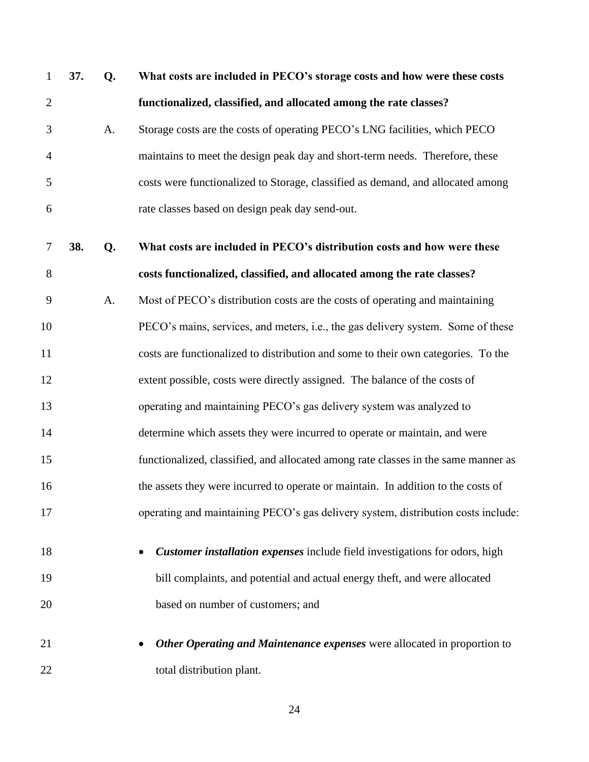| $\mathbf{1}$   | 37. | Q. | What costs are included in PECO's storage costs and how were these costs           |
|----------------|-----|----|------------------------------------------------------------------------------------|
| $\mathfrak{2}$ |     |    | functionalized, classified, and allocated among the rate classes?                  |
| 3              |     | A. | Storage costs are the costs of operating PECO's LNG facilities, which PECO         |
| $\overline{4}$ |     |    | maintains to meet the design peak day and short-term needs. Therefore, these       |
| 5              |     |    | costs were functionalized to Storage, classified as demand, and allocated among    |
| 6              |     |    | rate classes based on design peak day send-out.                                    |
| $\tau$         | 38. | Q. | What costs are included in PECO's distribution costs and how were these            |
| 8              |     |    | costs functionalized, classified, and allocated among the rate classes?            |
| 9              |     | A. | Most of PECO's distribution costs are the costs of operating and maintaining       |
| 10             |     |    | PECO's mains, services, and meters, i.e., the gas delivery system. Some of these   |
| 11             |     |    | costs are functionalized to distribution and some to their own categories. To the  |
| 12             |     |    | extent possible, costs were directly assigned. The balance of the costs of         |
| 13             |     |    | operating and maintaining PECO's gas delivery system was analyzed to               |
| 14             |     |    | determine which assets they were incurred to operate or maintain, and were         |
| 15             |     |    | functionalized, classified, and allocated among rate classes in the same manner as |
| 16             |     |    | the assets they were incurred to operate or maintain. In addition to the costs of  |
| 17             |     |    | operating and maintaining PECO's gas delivery system, distribution costs include:  |
| 18             |     |    | Customer installation expenses include field investigations for odors, high        |
| 19             |     |    | bill complaints, and potential and actual energy theft, and were allocated         |
| 20             |     |    | based on number of customers; and                                                  |
| 21             |     |    | Other Operating and Maintenance expenses were allocated in proportion to           |
| 22             |     |    | total distribution plant.                                                          |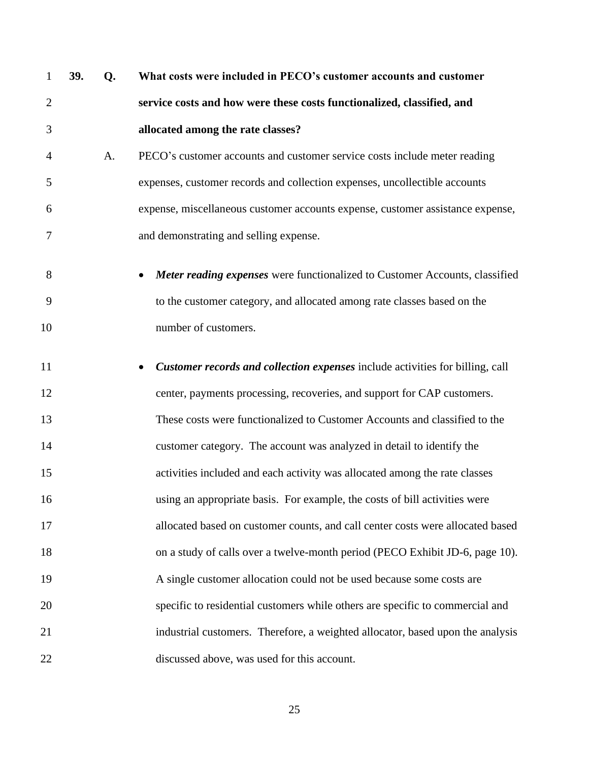**39. Q. What costs were included in PECO's customer accounts and customer service costs and how were these costs functionalized, classified, and allocated among the rate classes?**  A. PECO's customer accounts and customer service costs include meter reading expenses, customer records and collection expenses, uncollectible accounts expense, miscellaneous customer accounts expense, customer assistance expense, and demonstrating and selling expense. • *Meter reading expenses* were functionalized to Customer Accounts, classified to the customer category, and allocated among rate classes based on the number of customers. • *Customer records and collection expenses* include activities for billing, call center, payments processing, recoveries, and support for CAP customers. These costs were functionalized to Customer Accounts and classified to the customer category. The account was analyzed in detail to identify the activities included and each activity was allocated among the rate classes using an appropriate basis. For example, the costs of bill activities were allocated based on customer counts, and call center costs were allocated based 18 on a study of calls over a twelve-month period (PECO Exhibit JD-6, page 10). A single customer allocation could not be used because some costs are specific to residential customers while others are specific to commercial and industrial customers. Therefore, a weighted allocator, based upon the analysis discussed above, was used for this account.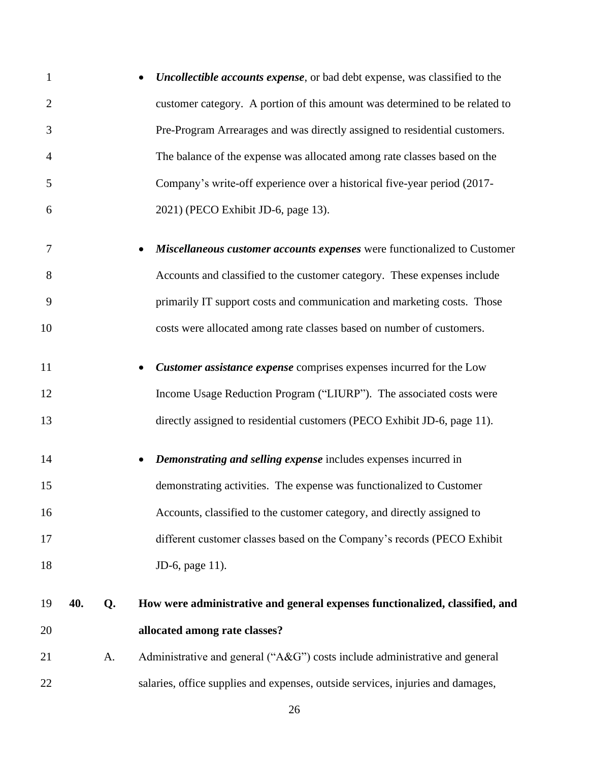| 1              |     |    | <b>Uncollectible accounts expense</b> , or bad debt expense, was classified to the |
|----------------|-----|----|------------------------------------------------------------------------------------|
| $\overline{2}$ |     |    | customer category. A portion of this amount was determined to be related to        |
| 3              |     |    | Pre-Program Arrearages and was directly assigned to residential customers.         |
| $\overline{4}$ |     |    | The balance of the expense was allocated among rate classes based on the           |
| 5              |     |    | Company's write-off experience over a historical five-year period (2017-           |
| 6              |     |    | 2021) (PECO Exhibit JD-6, page 13).                                                |
| 7              |     |    | Miscellaneous customer accounts expenses were functionalized to Customer           |
| 8              |     |    | Accounts and classified to the customer category. These expenses include           |
| 9              |     |    | primarily IT support costs and communication and marketing costs. Those            |
| 10             |     |    | costs were allocated among rate classes based on number of customers.              |
| 11             |     |    | Customer assistance expense comprises expenses incurred for the Low                |
| 12             |     |    | Income Usage Reduction Program ("LIURP"). The associated costs were                |
| 13             |     |    | directly assigned to residential customers (PECO Exhibit JD-6, page 11).           |
| 14             |     |    | Demonstrating and selling expense includes expenses incurred in                    |
| 15             |     |    | demonstrating activities. The expense was functionalized to Customer               |
| 16             |     |    | Accounts, classified to the customer category, and directly assigned to            |
| 17             |     |    | different customer classes based on the Company's records (PECO Exhibit            |
| 18             |     |    | JD-6, page 11).                                                                    |
| 19             | 40. | Q. | How were administrative and general expenses functionalized, classified, and       |
| 20             |     |    | allocated among rate classes?                                                      |
| 21             |     | A. | Administrative and general ("A&G") costs include administrative and general        |
| 22             |     |    | salaries, office supplies and expenses, outside services, injuries and damages,    |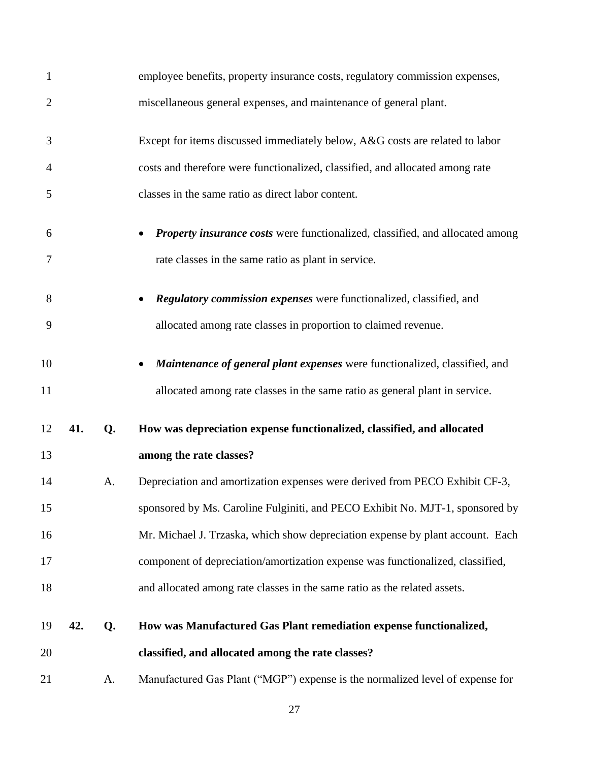| $\mathbf{1}$   |     |    | employee benefits, property insurance costs, regulatory commission expenses,         |
|----------------|-----|----|--------------------------------------------------------------------------------------|
| $\overline{2}$ |     |    | miscellaneous general expenses, and maintenance of general plant.                    |
| 3              |     |    | Except for items discussed immediately below, A&G costs are related to labor         |
| 4              |     |    | costs and therefore were functionalized, classified, and allocated among rate        |
| 5              |     |    | classes in the same ratio as direct labor content.                                   |
| 6              |     |    | <b>Property insurance costs</b> were functionalized, classified, and allocated among |
| 7              |     |    | rate classes in the same ratio as plant in service.                                  |
| 8              |     |    | Regulatory commission expenses were functionalized, classified, and                  |
| 9              |     |    | allocated among rate classes in proportion to claimed revenue.                       |
| 10             |     |    | Maintenance of general plant expenses were functionalized, classified, and           |
| 11             |     |    | allocated among rate classes in the same ratio as general plant in service.          |
| 12             | 41. | Q. | How was depreciation expense functionalized, classified, and allocated               |
| 13             |     |    | among the rate classes?                                                              |
| 14             |     | A. | Depreciation and amortization expenses were derived from PECO Exhibit CF-3,          |
| 15             |     |    | sponsored by Ms. Caroline Fulginiti, and PECO Exhibit No. MJT-1, sponsored by        |
| 16             |     |    | Mr. Michael J. Trzaska, which show depreciation expense by plant account. Each       |
| 17             |     |    | component of depreciation/amortization expense was functionalized, classified,       |
| 18             |     |    | and allocated among rate classes in the same ratio as the related assets.            |
| 19             | 42. | Q. | How was Manufactured Gas Plant remediation expense functionalized,                   |
| 20             |     |    | classified, and allocated among the rate classes?                                    |
| 21             |     | A. | Manufactured Gas Plant ("MGP") expense is the normalized level of expense for        |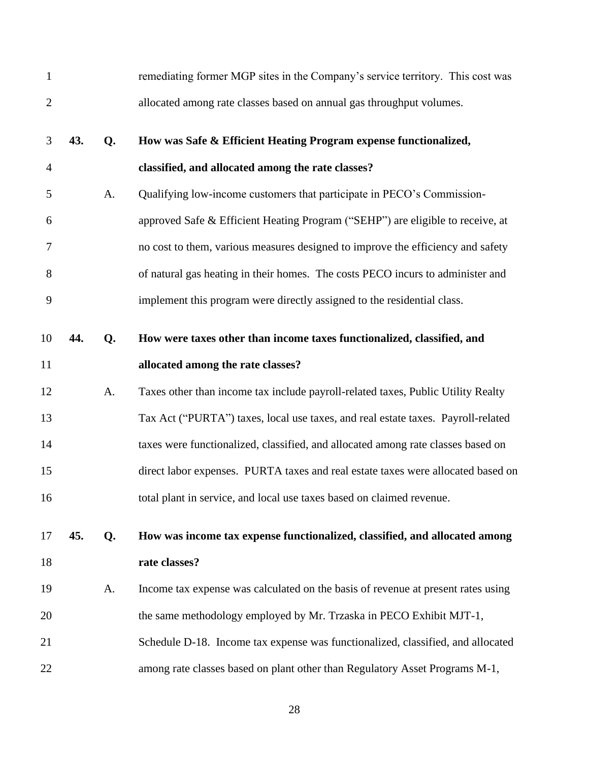| $\mathbf{1}$   |     |    | remediating former MGP sites in the Company's service territory. This cost was   |
|----------------|-----|----|----------------------------------------------------------------------------------|
| $\overline{2}$ |     |    | allocated among rate classes based on annual gas throughput volumes.             |
| 3              | 43. | Q. | How was Safe & Efficient Heating Program expense functionalized,                 |
| $\overline{4}$ |     |    | classified, and allocated among the rate classes?                                |
| 5              |     | A. | Qualifying low-income customers that participate in PECO's Commission-           |
| 6              |     |    | approved Safe & Efficient Heating Program ("SEHP") are eligible to receive, at   |
| 7              |     |    | no cost to them, various measures designed to improve the efficiency and safety  |
| $8\,$          |     |    | of natural gas heating in their homes. The costs PECO incurs to administer and   |
| 9              |     |    | implement this program were directly assigned to the residential class.          |
| 10             | 44. | Q. | How were taxes other than income taxes functionalized, classified, and           |
| 11             |     |    | allocated among the rate classes?                                                |
| 12             |     | A. | Taxes other than income tax include payroll-related taxes, Public Utility Realty |
| 13             |     |    | Tax Act ("PURTA") taxes, local use taxes, and real estate taxes. Payroll-related |
| 14             |     |    | taxes were functionalized, classified, and allocated among rate classes based on |
| 15             |     |    | direct labor expenses. PURTA taxes and real estate taxes were allocated based on |
| 16             |     |    | total plant in service, and local use taxes based on claimed revenue.            |
| 17             | 45. | Q. | How was income tax expense functionalized, classified, and allocated among       |
| 18             |     |    | rate classes?                                                                    |
| 19             |     | A. | Income tax expense was calculated on the basis of revenue at present rates using |
| 20             |     |    | the same methodology employed by Mr. Trzaska in PECO Exhibit MJT-1,              |
| 21             |     |    | Schedule D-18. Income tax expense was functionalized, classified, and allocated  |
| 22             |     |    | among rate classes based on plant other than Regulatory Asset Programs M-1,      |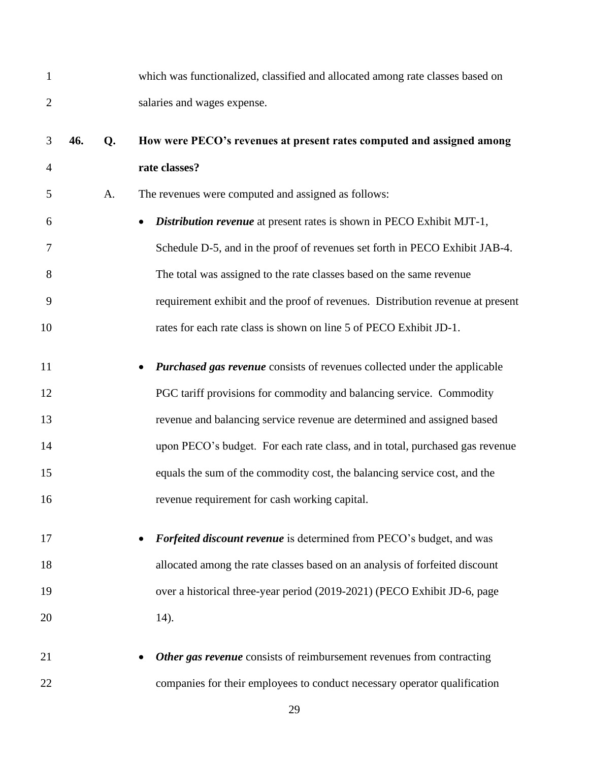| 1              |     |    | which was functionalized, classified and allocated among rate classes based on |
|----------------|-----|----|--------------------------------------------------------------------------------|
| $\overline{2}$ |     |    | salaries and wages expense.                                                    |
| 3              | 46. | Q. | How were PECO's revenues at present rates computed and assigned among          |
| $\overline{4}$ |     |    | rate classes?                                                                  |
| 5              |     | A. | The revenues were computed and assigned as follows:                            |
| 6              |     |    | Distribution revenue at present rates is shown in PECO Exhibit MJT-1,          |
| 7              |     |    | Schedule D-5, and in the proof of revenues set forth in PECO Exhibit JAB-4.    |
| 8              |     |    | The total was assigned to the rate classes based on the same revenue           |
| 9              |     |    | requirement exhibit and the proof of revenues. Distribution revenue at present |
| 10             |     |    | rates for each rate class is shown on line 5 of PECO Exhibit JD-1.             |
| 11             |     |    | Purchased gas revenue consists of revenues collected under the applicable      |
| 12             |     |    | PGC tariff provisions for commodity and balancing service. Commodity           |
| 13             |     |    | revenue and balancing service revenue are determined and assigned based        |
| 14             |     |    | upon PECO's budget. For each rate class, and in total, purchased gas revenue   |
| 15             |     |    | equals the sum of the commodity cost, the balancing service cost, and the      |
| 16             |     |    | revenue requirement for cash working capital.                                  |
| 17             |     |    | Forfeited discount revenue is determined from PECO's budget, and was           |
| 18             |     |    | allocated among the rate classes based on an analysis of forfeited discount    |
| 19             |     |    | over a historical three-year period (2019-2021) (PECO Exhibit JD-6, page       |
| 20             |     |    | $14)$ .                                                                        |
| 21             |     |    | Other gas revenue consists of reimbursement revenues from contracting          |
| 22             |     |    | companies for their employees to conduct necessary operator qualification      |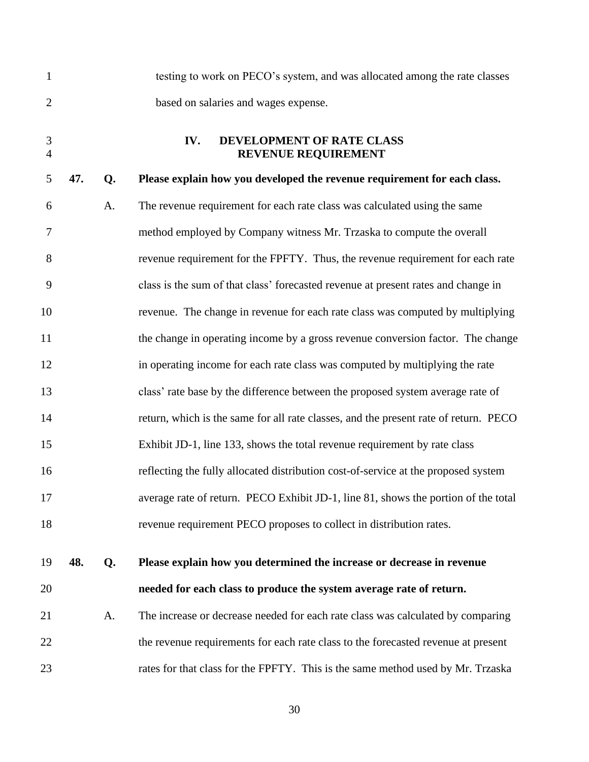<span id="page-31-0"></span>

| $\mathbf{1}$        |     |    | testing to work on PECO's system, and was allocated among the rate classes           |
|---------------------|-----|----|--------------------------------------------------------------------------------------|
| $\overline{2}$      |     |    | based on salaries and wages expense.                                                 |
| 3<br>$\overline{4}$ |     |    | DEVELOPMENT OF RATE CLASS<br>IV.<br>REVENUE REQUIREMENT                              |
| 5                   | 47. | Q. | Please explain how you developed the revenue requirement for each class.             |
| 6                   |     | A. | The revenue requirement for each rate class was calculated using the same            |
| 7                   |     |    | method employed by Company witness Mr. Trzaska to compute the overall                |
| 8                   |     |    | revenue requirement for the FPFTY. Thus, the revenue requirement for each rate       |
| 9                   |     |    | class is the sum of that class' forecasted revenue at present rates and change in    |
| 10                  |     |    | revenue. The change in revenue for each rate class was computed by multiplying       |
| 11                  |     |    | the change in operating income by a gross revenue conversion factor. The change      |
| 12                  |     |    | in operating income for each rate class was computed by multiplying the rate         |
| 13                  |     |    | class' rate base by the difference between the proposed system average rate of       |
| 14                  |     |    | return, which is the same for all rate classes, and the present rate of return. PECO |
| 15                  |     |    | Exhibit JD-1, line 133, shows the total revenue requirement by rate class            |
| 16                  |     |    | reflecting the fully allocated distribution cost-of-service at the proposed system   |
| 17                  |     |    | average rate of return. PECO Exhibit JD-1, line 81, shows the portion of the total   |
| 18                  |     |    | revenue requirement PECO proposes to collect in distribution rates.                  |
| 19                  | 48. | Q. | Please explain how you determined the increase or decrease in revenue                |
| 20                  |     |    | needed for each class to produce the system average rate of return.                  |
| 21                  |     | A. | The increase or decrease needed for each rate class was calculated by comparing      |
| 22                  |     |    | the revenue requirements for each rate class to the forecasted revenue at present    |
| 23                  |     |    | rates for that class for the FPFTY. This is the same method used by Mr. Trzaska      |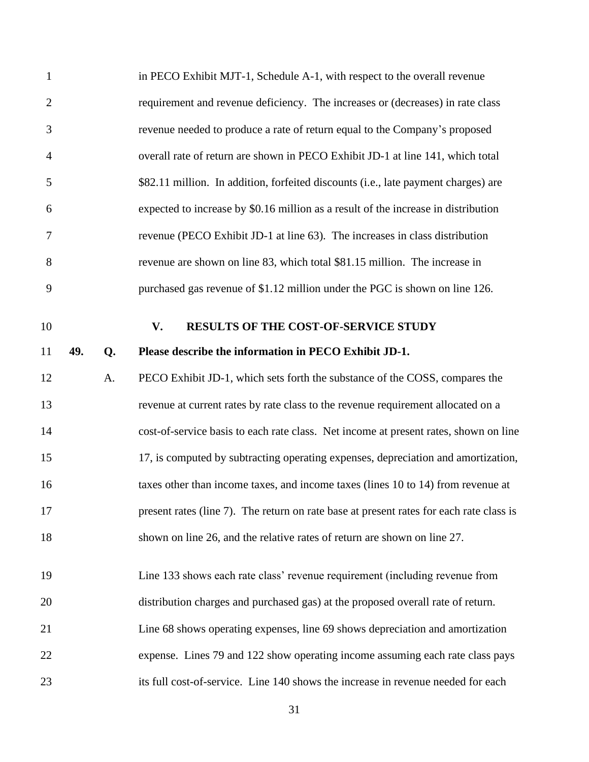<span id="page-32-0"></span>

| $\mathbf{1}$   |     |    | in PECO Exhibit MJT-1, Schedule A-1, with respect to the overall revenue                |
|----------------|-----|----|-----------------------------------------------------------------------------------------|
| $\overline{2}$ |     |    | requirement and revenue deficiency. The increases or (decreases) in rate class          |
| 3              |     |    | revenue needed to produce a rate of return equal to the Company's proposed              |
| $\overline{4}$ |     |    | overall rate of return are shown in PECO Exhibit JD-1 at line 141, which total          |
| 5              |     |    | \$82.11 million. In addition, forfeited discounts (i.e., late payment charges) are      |
| 6              |     |    | expected to increase by \$0.16 million as a result of the increase in distribution      |
| 7              |     |    | revenue (PECO Exhibit JD-1 at line 63). The increases in class distribution             |
| 8              |     |    | revenue are shown on line 83, which total \$81.15 million. The increase in              |
| 9              |     |    | purchased gas revenue of \$1.12 million under the PGC is shown on line 126.             |
| 10             |     |    | <b>RESULTS OF THE COST-OF-SERVICE STUDY</b><br>V.                                       |
| 11             | 49. | Q. | Please describe the information in PECO Exhibit JD-1.                                   |
| 12             |     | A. | PECO Exhibit JD-1, which sets forth the substance of the COSS, compares the             |
| 13             |     |    | revenue at current rates by rate class to the revenue requirement allocated on a        |
|                |     |    |                                                                                         |
| 14             |     |    | cost-of-service basis to each rate class. Net income at present rates, shown on line    |
| 15             |     |    | 17, is computed by subtracting operating expenses, depreciation and amortization,       |
| 16             |     |    | taxes other than income taxes, and income taxes (lines 10 to 14) from revenue at        |
| 17             |     |    | present rates (line 7). The return on rate base at present rates for each rate class is |
| 18             |     |    | shown on line 26, and the relative rates of return are shown on line 27.                |
| 19             |     |    | Line 133 shows each rate class' revenue requirement (including revenue from             |
|                |     |    |                                                                                         |
| 20             |     |    | distribution charges and purchased gas) at the proposed overall rate of return.         |
| 21             |     |    | Line 68 shows operating expenses, line 69 shows depreciation and amortization           |
| 22             |     |    | expense. Lines 79 and 122 show operating income assuming each rate class pays           |
| 23             |     |    | its full cost-of-service. Line 140 shows the increase in revenue needed for each        |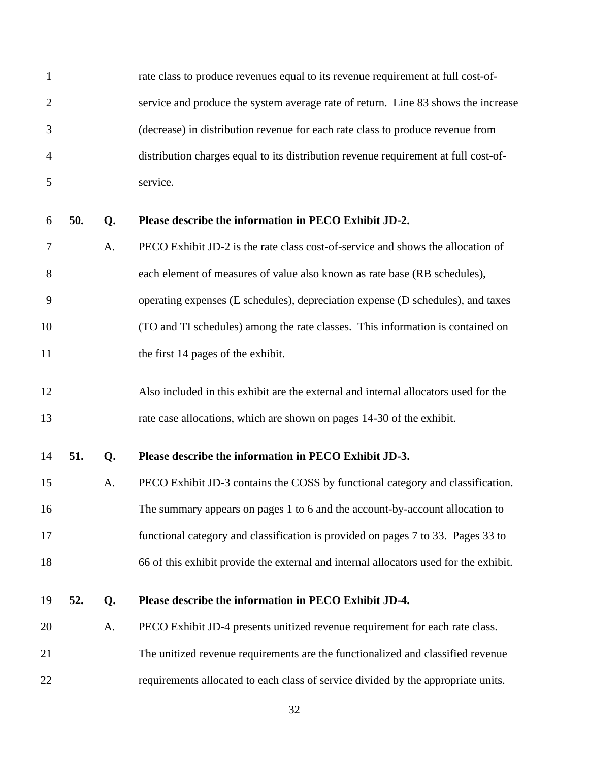| 1              |     |    | rate class to produce revenues equal to its revenue requirement at full cost-of-      |
|----------------|-----|----|---------------------------------------------------------------------------------------|
| $\overline{2}$ |     |    | service and produce the system average rate of return. Line 83 shows the increase     |
| 3              |     |    | (decrease) in distribution revenue for each rate class to produce revenue from        |
| 4              |     |    | distribution charges equal to its distribution revenue requirement at full cost-of-   |
| 5              |     |    | service.                                                                              |
| 6              | 50. | Q. | Please describe the information in PECO Exhibit JD-2.                                 |
| 7              |     | A. | PECO Exhibit JD-2 is the rate class cost-of-service and shows the allocation of       |
| 8              |     |    | each element of measures of value also known as rate base (RB schedules),             |
| 9              |     |    | operating expenses (E schedules), depreciation expense (D schedules), and taxes       |
| 10             |     |    | (TO and TI schedules) among the rate classes. This information is contained on        |
| 11             |     |    | the first 14 pages of the exhibit.                                                    |
| 12             |     |    | Also included in this exhibit are the external and internal allocators used for the   |
| 13             |     |    | rate case allocations, which are shown on pages 14-30 of the exhibit.                 |
| 14             | 51. | Q. | Please describe the information in PECO Exhibit JD-3.                                 |
| 15             |     | A. | PECO Exhibit JD-3 contains the COSS by functional category and classification.        |
| 16             |     |    | The summary appears on pages 1 to 6 and the account-by-account allocation to          |
| 17             |     |    | functional category and classification is provided on pages 7 to 33. Pages 33 to      |
| 18             |     |    | 66 of this exhibit provide the external and internal allocators used for the exhibit. |
| 19             | 52. | Q. | Please describe the information in PECO Exhibit JD-4.                                 |
| 20             |     | A. | PECO Exhibit JD-4 presents unitized revenue requirement for each rate class.          |
| 21             |     |    | The unitized revenue requirements are the functionalized and classified revenue       |
| 22             |     |    | requirements allocated to each class of service divided by the appropriate units.     |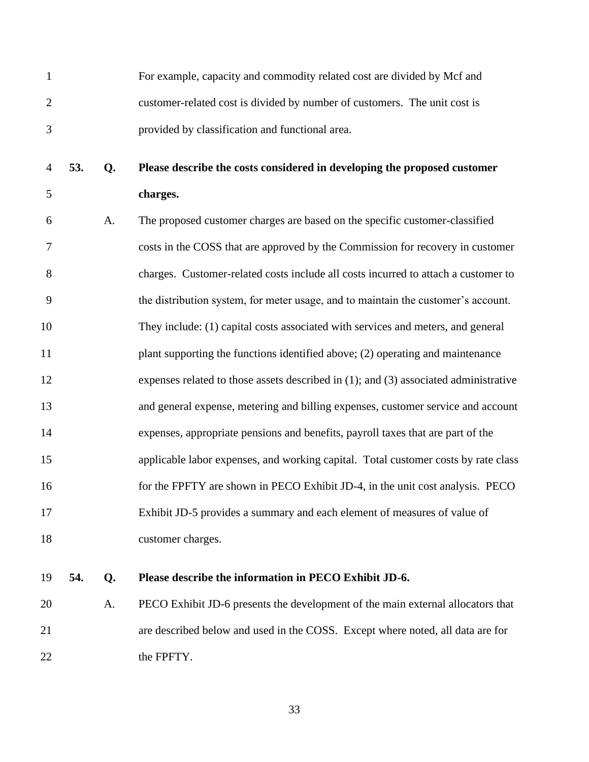- For example, capacity and commodity related cost are divided by Mcf and customer-related cost is divided by number of customers. The unit cost is provided by classification and functional area.
- **53. Q. Please describe the costs considered in developing the proposed customer charges.**
- A. The proposed customer charges are based on the specific customer-classified costs in the COSS that are approved by the Commission for recovery in customer charges. Customer-related costs include all costs incurred to attach a customer to the distribution system, for meter usage, and to maintain the customer's account. They include: (1) capital costs associated with services and meters, and general plant supporting the functions identified above; (2) operating and maintenance expenses related to those assets described in (1); and (3) associated administrative and general expense, metering and billing expenses, customer service and account expenses, appropriate pensions and benefits, payroll taxes that are part of the applicable labor expenses, and working capital. Total customer costs by rate class 16 for the FPFTY are shown in PECO Exhibit JD-4, in the unit cost analysis. PECO Exhibit JD-5 provides a summary and each element of measures of value of customer charges.

#### **54. Q. Please describe the information in PECO Exhibit JD-6.**

 A. PECO Exhibit JD-6 presents the development of the main external allocators that are described below and used in the COSS. Except where noted, all data are for 22 the FPFTY.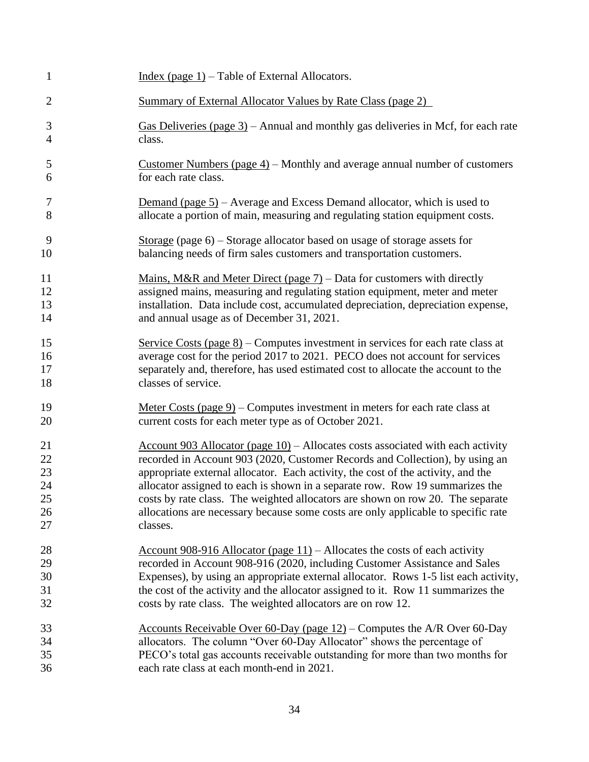| $\mathbf{1}$   | Index (page $1$ ) – Table of External Allocators.                                                                            |
|----------------|------------------------------------------------------------------------------------------------------------------------------|
| $\overline{2}$ | <b>Summary of External Allocator Values by Rate Class (page 2)</b>                                                           |
| 3              | Gas Deliveries (page $3$ ) – Annual and monthly gas deliveries in Mcf, for each rate                                         |
| $\overline{4}$ | class.                                                                                                                       |
| 5              | Customer Numbers (page $4$ ) – Monthly and average annual number of customers                                                |
| 6              | for each rate class.                                                                                                         |
| 7              | Demand (page $5$ ) – Average and Excess Demand allocator, which is used to                                                   |
| 8              | allocate a portion of main, measuring and regulating station equipment costs.                                                |
| 9              | Storage (page $6$ ) – Storage allocator based on usage of storage assets for                                                 |
| 10             | balancing needs of firm sales customers and transportation customers.                                                        |
| 11             | Mains, M&R and Meter Direct (page $7$ ) – Data for customers with directly                                                   |
| 12             | assigned mains, measuring and regulating station equipment, meter and meter                                                  |
| 13             | installation. Data include cost, accumulated depreciation, depreciation expense,                                             |
| 14             | and annual usage as of December 31, 2021.                                                                                    |
| 15             | Service Costs (page $8$ ) – Computes investment in services for each rate class at                                           |
| 16             | average cost for the period 2017 to 2021. PECO does not account for services                                                 |
| 17             | separately and, therefore, has used estimated cost to allocate the account to the                                            |
| 18             | classes of service.                                                                                                          |
| 19             | Meter Costs (page $9$ ) – Computes investment in meters for each rate class at                                               |
| 20             | current costs for each meter type as of October 2021.                                                                        |
| 21             | $\frac{\text{Account } 903 \text{ Allocation (page 10)} - \text{Allocates costs associated with each activity}}{1000 \text{$ |
| 22             | recorded in Account 903 (2020, Customer Records and Collection), by using an                                                 |
| 23             | appropriate external allocator. Each activity, the cost of the activity, and the                                             |
| 24             | allocator assigned to each is shown in a separate row. Row 19 summarizes the                                                 |
| 25             | costs by rate class. The weighted allocators are shown on row 20. The separate                                               |
| 26             | allocations are necessary because some costs are only applicable to specific rate                                            |
| 27             | classes.                                                                                                                     |
| 28             | Account 908-916 Allocator (page $11$ ) – Allocates the costs of each activity                                                |
| 29             | recorded in Account 908-916 (2020, including Customer Assistance and Sales                                                   |
| 30             | Expenses), by using an appropriate external allocator. Rows 1-5 list each activity,                                          |
| 31             | the cost of the activity and the allocator assigned to it. Row 11 summarizes the                                             |
| 32             | costs by rate class. The weighted allocators are on row 12.                                                                  |
| 33             | Accounts Receivable Over 60-Day (page $12$ ) – Computes the A/R Over 60-Day                                                  |
| 34             | allocators. The column "Over 60-Day Allocator" shows the percentage of                                                       |
| 35             | PECO's total gas accounts receivable outstanding for more than two months for                                                |
| 36             | each rate class at each month-end in 2021.                                                                                   |